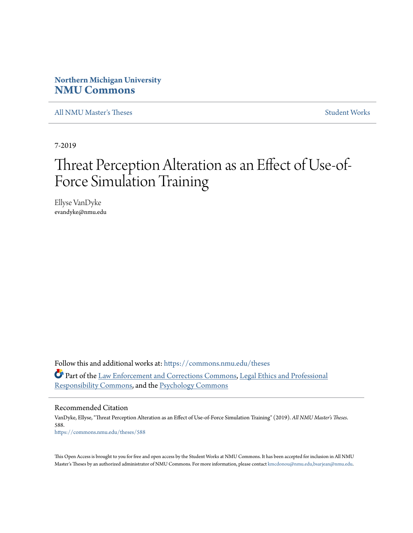## **Northern Michigan University [NMU Commons](https://commons.nmu.edu/?utm_source=commons.nmu.edu%2Ftheses%2F588&utm_medium=PDF&utm_campaign=PDFCoverPages)**

[All NMU Master's Theses](https://commons.nmu.edu/theses?utm_source=commons.nmu.edu%2Ftheses%2F588&utm_medium=PDF&utm_campaign=PDFCoverPages) [Student Works](https://commons.nmu.edu/student_works?utm_source=commons.nmu.edu%2Ftheses%2F588&utm_medium=PDF&utm_campaign=PDFCoverPages)

7-2019

# Threat Perception Alteration as an Effect of Use-of-Force Simulation Training

Ellyse VanDyke evandyke@nmu.edu

Follow this and additional works at: [https://commons.nmu.edu/theses](https://commons.nmu.edu/theses?utm_source=commons.nmu.edu%2Ftheses%2F588&utm_medium=PDF&utm_campaign=PDFCoverPages) Part of the [Law Enforcement and Corrections Commons,](http://network.bepress.com/hgg/discipline/854?utm_source=commons.nmu.edu%2Ftheses%2F588&utm_medium=PDF&utm_campaign=PDFCoverPages) [Legal Ethics and Professional](http://network.bepress.com/hgg/discipline/895?utm_source=commons.nmu.edu%2Ftheses%2F588&utm_medium=PDF&utm_campaign=PDFCoverPages) [Responsibility Commons](http://network.bepress.com/hgg/discipline/895?utm_source=commons.nmu.edu%2Ftheses%2F588&utm_medium=PDF&utm_campaign=PDFCoverPages), and the [Psychology Commons](http://network.bepress.com/hgg/discipline/404?utm_source=commons.nmu.edu%2Ftheses%2F588&utm_medium=PDF&utm_campaign=PDFCoverPages)

#### Recommended Citation

VanDyke, Ellyse, "Threat Perception Alteration as an Effect of Use-of-Force Simulation Training" (2019). *All NMU Master's Theses*. 588. [https://commons.nmu.edu/theses/588](https://commons.nmu.edu/theses/588?utm_source=commons.nmu.edu%2Ftheses%2F588&utm_medium=PDF&utm_campaign=PDFCoverPages)

This Open Access is brought to you for free and open access by the Student Works at NMU Commons. It has been accepted for inclusion in All NMU Master's Theses by an authorized administrator of NMU Commons. For more information, please contact [kmcdonou@nmu.edu,bsarjean@nmu.edu.](mailto:kmcdonou@nmu.edu,bsarjean@nmu.edu)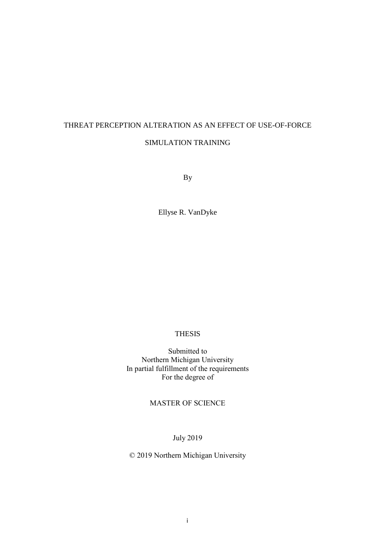## THREAT PERCEPTION ALTERATION AS AN EFFECT OF USE-OF-FORCE SIMULATION TRAINING

By

Ellyse R. VanDyke

### THESIS

Submitted to Northern Michigan University In partial fulfillment of the requirements For the degree of

## MASTER OF SCIENCE

July 2019

© 2019 Northern Michigan University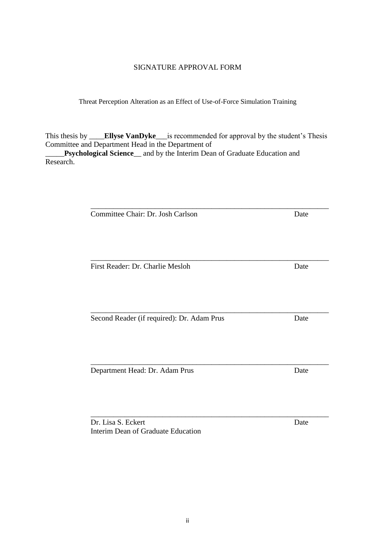## SIGNATURE APPROVAL FORM

Threat Perception Alteration as an Effect of Use-of-Force Simulation Training

This thesis by \_\_\_\_**Ellyse VanDyke**\_\_\_is recommended for approval by the student's Thesis Committee and Department Head in the Department of

\_\_\_\_\_\_\_\_\_\_\_\_\_\_\_\_\_\_\_\_\_\_\_\_\_\_\_\_\_\_\_\_\_\_\_\_\_\_\_\_\_\_\_\_\_\_\_\_\_\_\_\_\_\_\_\_\_\_\_\_\_\_\_

\_\_\_\_\_**Psychological Science**\_\_ and by the Interim Dean of Graduate Education and Research.

Committee Chair: Dr. Josh Carlson Date

First Reader: Dr. Charlie Mesloh Date

\_\_\_\_\_\_\_\_\_\_\_\_\_\_\_\_\_\_\_\_\_\_\_\_\_\_\_\_\_\_\_\_\_\_\_\_\_\_\_\_\_\_\_\_\_\_\_\_\_\_\_\_\_\_\_\_\_\_\_\_\_\_\_ Second Reader (if required): Dr. Adam Prus Date

\_\_\_\_\_\_\_\_\_\_\_\_\_\_\_\_\_\_\_\_\_\_\_\_\_\_\_\_\_\_\_\_\_\_\_\_\_\_\_\_\_\_\_\_\_\_\_\_\_\_\_\_\_\_\_\_\_\_\_\_\_\_\_ Department Head: Dr. Adam Prus Date

Dr. Lisa S. Eckert Date Interim Dean of Graduate Education

\_\_\_\_\_\_\_\_\_\_\_\_\_\_\_\_\_\_\_\_\_\_\_\_\_\_\_\_\_\_\_\_\_\_\_\_\_\_\_\_\_\_\_\_\_\_\_\_\_\_\_\_\_\_\_\_\_\_\_\_\_\_\_

\_\_\_\_\_\_\_\_\_\_\_\_\_\_\_\_\_\_\_\_\_\_\_\_\_\_\_\_\_\_\_\_\_\_\_\_\_\_\_\_\_\_\_\_\_\_\_\_\_\_\_\_\_\_\_\_\_\_\_\_\_\_\_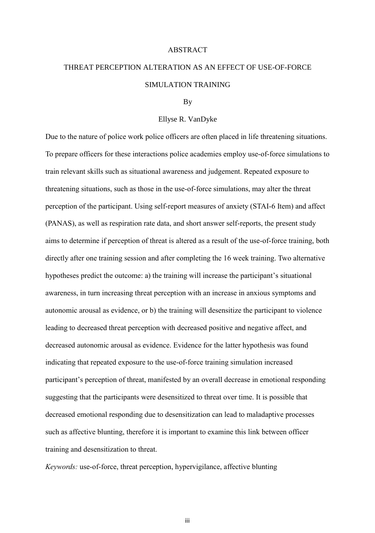#### ABSTRACT

## THREAT PERCEPTION ALTERATION AS AN EFFECT OF USE-OF-FORCE SIMULATION TRAINING

#### By

#### Ellyse R. VanDyke

Due to the nature of police work police officers are often placed in life threatening situations. To prepare officers for these interactions police academies employ use-of-force simulations to train relevant skills such as situational awareness and judgement. Repeated exposure to threatening situations, such as those in the use-of-force simulations, may alter the threat perception of the participant. Using self-report measures of anxiety (STAI-6 Item) and affect (PANAS), as well as respiration rate data, and short answer self-reports, the present study aims to determine if perception of threat is altered as a result of the use-of-force training, both directly after one training session and after completing the 16 week training. Two alternative hypotheses predict the outcome: a) the training will increase the participant's situational awareness, in turn increasing threat perception with an increase in anxious symptoms and autonomic arousal as evidence, or b) the training will desensitize the participant to violence leading to decreased threat perception with decreased positive and negative affect, and decreased autonomic arousal as evidence. Evidence for the latter hypothesis was found indicating that repeated exposure to the use-of-force training simulation increased participant's perception of threat, manifested by an overall decrease in emotional responding suggesting that the participants were desensitized to threat over time. It is possible that decreased emotional responding due to desensitization can lead to maladaptive processes such as affective blunting, therefore it is important to examine this link between officer training and desensitization to threat.

*Keywords:* use-of-force, threat perception, hypervigilance, affective blunting

iii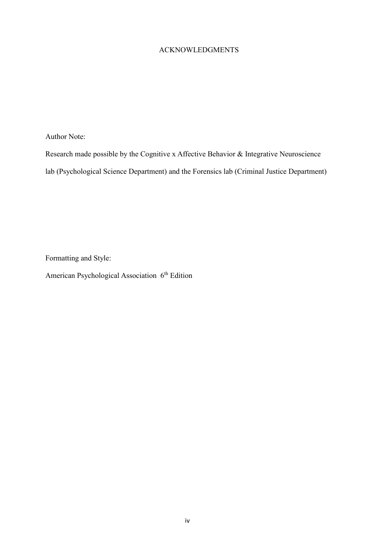## ACKNOWLEDGMENTS

Author Note:

Research made possible by the Cognitive x Affective Behavior & Integrative Neuroscience

lab (Psychological Science Department) and the Forensics lab (Criminal Justice Department)

Formatting and Style:

American Psychological Association 6<sup>th</sup> Edition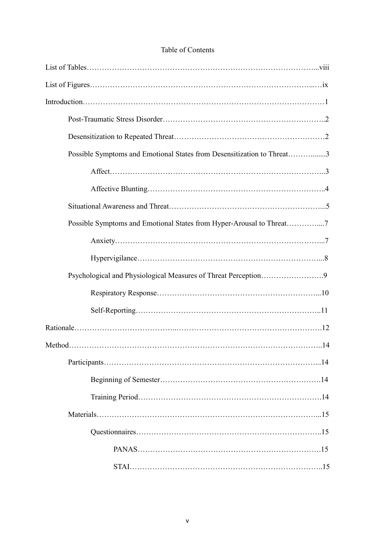## Table of Contents

| Possible Symptoms and Emotional States from Desensitization to Threat3 |            |
|------------------------------------------------------------------------|------------|
|                                                                        |            |
|                                                                        |            |
|                                                                        |            |
| Possible Symptoms and Emotional States from Hyper-Arousal to Threat7   |            |
|                                                                        |            |
|                                                                        |            |
| Psychological and Physiological Measures of Threat Perception9         |            |
|                                                                        |            |
|                                                                        |            |
|                                                                        |            |
| Method                                                                 | $\dots$ 14 |
|                                                                        |            |
|                                                                        |            |
|                                                                        |            |
|                                                                        |            |
|                                                                        |            |
|                                                                        |            |
|                                                                        |            |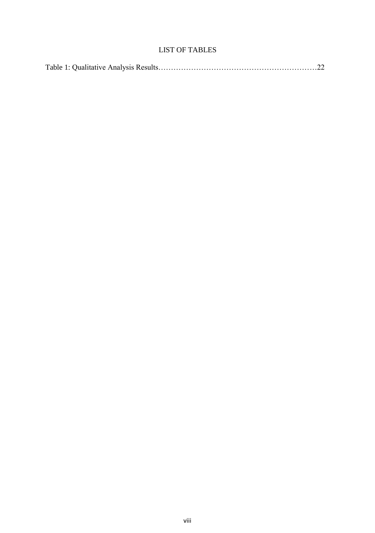## LIST OF TABLES

|--|--|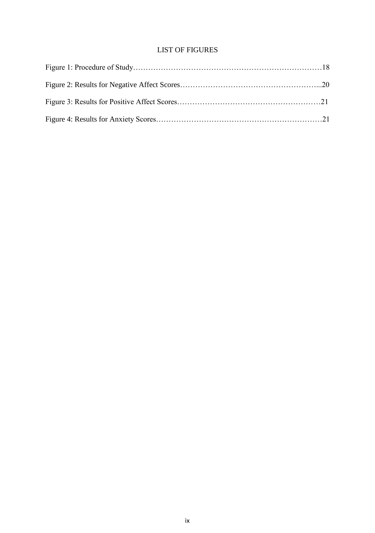## LIST OF FIGURES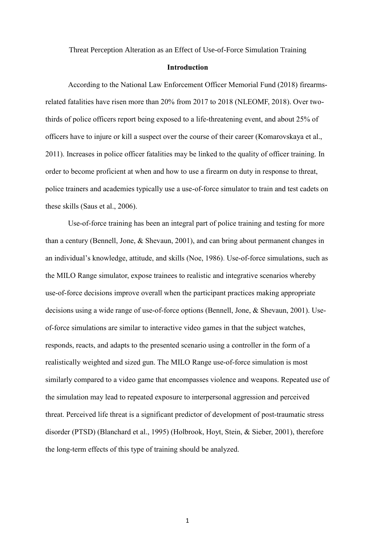Threat Perception Alteration as an Effect of Use-of-Force Simulation Training

#### **Introduction**

According to the National Law Enforcement Officer Memorial Fund (2018) firearmsrelated fatalities have risen more than 20% from 2017 to 2018 (NLEOMF, 2018). Over twothirds of police officers report being exposed to a life-threatening event, and about 25% of officers have to injure or kill a suspect over the course of their career (Komarovskaya et al., 2011). Increases in police officer fatalities may be linked to the quality of officer training. In order to become proficient at when and how to use a firearm on duty in response to threat, police trainers and academies typically use a use-of-force simulator to train and test cadets on these skills (Saus et al., 2006).

Use-of-force training has been an integral part of police training and testing for more than a century (Bennell, Jone, & Shevaun, 2001), and can bring about permanent changes in an individual's knowledge, attitude, and skills (Noe, 1986). Use-of-force simulations, such as the MILO Range simulator, expose trainees to realistic and integrative scenarios whereby use-of-force decisions improve overall when the participant practices making appropriate decisions using a wide range of use-of-force options (Bennell, Jone, & Shevaun, 2001). Useof-force simulations are similar to interactive video games in that the subject watches, responds, reacts, and adapts to the presented scenario using a controller in the form of a realistically weighted and sized gun. The MILO Range use-of-force simulation is most similarly compared to a video game that encompasses violence and weapons. Repeated use of the simulation may lead to repeated exposure to interpersonal aggression and perceived threat. Perceived life threat is a significant predictor of development of post-traumatic stress disorder (PTSD) (Blanchard et al., 1995) (Holbrook, Hoyt, Stein, & Sieber, 2001), therefore the long-term effects of this type of training should be analyzed.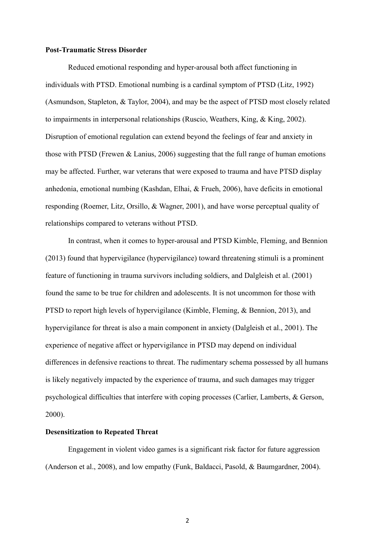#### **Post-Traumatic Stress Disorder**

Reduced emotional responding and hyper-arousal both affect functioning in individuals with PTSD. Emotional numbing is a cardinal symptom of PTSD (Litz, 1992) (Asmundson, Stapleton, & Taylor, 2004), and may be the aspect of PTSD most closely related to impairments in interpersonal relationships (Ruscio, Weathers, King, & King, 2002). Disruption of emotional regulation can extend beyond the feelings of fear and anxiety in those with PTSD (Frewen & Lanius, 2006) suggesting that the full range of human emotions may be affected. Further, war veterans that were exposed to trauma and have PTSD display anhedonia, emotional numbing (Kashdan, Elhai, & Frueh, 2006), have deficits in emotional responding (Roemer, Litz, Orsillo, & Wagner, 2001), and have worse perceptual quality of relationships compared to veterans without PTSD.

In contrast, when it comes to hyper-arousal and PTSD Kimble, Fleming, and Bennion (2013) found that hypervigilance (hypervigilance) toward threatening stimuli is a prominent feature of functioning in trauma survivors including soldiers, and Dalgleish et al. (2001) found the same to be true for children and adolescents. It is not uncommon for those with PTSD to report high levels of hypervigilance (Kimble, Fleming, & Bennion, 2013), and hypervigilance for threat is also a main component in anxiety (Dalgleish et al., 2001). The experience of negative affect or hypervigilance in PTSD may depend on individual differences in defensive reactions to threat. The rudimentary schema possessed by all humans is likely negatively impacted by the experience of trauma, and such damages may trigger psychological difficulties that interfere with coping processes (Carlier, Lamberts, & Gerson, 2000).

#### **Desensitization to Repeated Threat**

Engagement in violent video games is a significant risk factor for future aggression (Anderson et al., 2008), and low empathy (Funk, Baldacci, Pasold, & Baumgardner, 2004).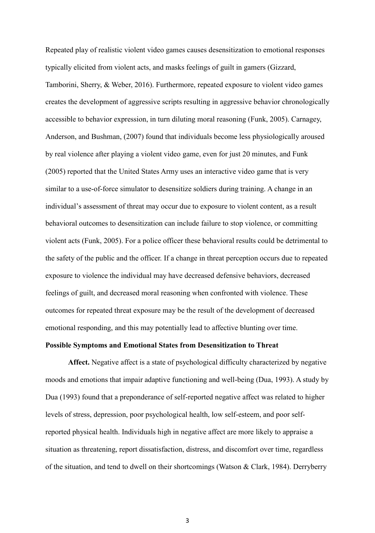Repeated play of realistic violent video games causes desensitization to emotional responses typically elicited from violent acts, and masks feelings of guilt in gamers (Gizzard, Tamborini, Sherry, & Weber, 2016). Furthermore, repeated exposure to violent video games creates the development of aggressive scripts resulting in aggressive behavior chronologically accessible to behavior expression, in turn diluting moral reasoning (Funk, 2005). Carnagey, Anderson, and Bushman, (2007) found that individuals become less physiologically aroused by real violence after playing a violent video game, even for just 20 minutes, and Funk (2005) reported that the United States Army uses an interactive video game that is very similar to a use-of-force simulator to desensitize soldiers during training. A change in an individual's assessment of threat may occur due to exposure to violent content, as a result behavioral outcomes to desensitization can include failure to stop violence, or committing violent acts (Funk, 2005). For a police officer these behavioral results could be detrimental to the safety of the public and the officer. If a change in threat perception occurs due to repeated exposure to violence the individual may have decreased defensive behaviors, decreased feelings of guilt, and decreased moral reasoning when confronted with violence. These outcomes for repeated threat exposure may be the result of the development of decreased emotional responding, and this may potentially lead to affective blunting over time.

#### **Possible Symptoms and Emotional States from Desensitization to Threat**

**Affect.** Negative affect is a state of psychological difficulty characterized by negative moods and emotions that impair adaptive functioning and well-being (Dua, 1993). A study by Dua (1993) found that a preponderance of self-reported negative affect was related to higher levels of stress, depression, poor psychological health, low self-esteem, and poor selfreported physical health. Individuals high in negative affect are more likely to appraise a situation as threatening, report dissatisfaction, distress, and discomfort over time, regardless of the situation, and tend to dwell on their shortcomings (Watson & Clark, 1984). Derryberry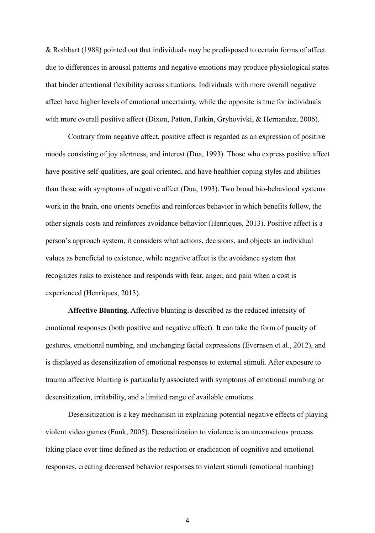& Rothbart (1988) pointed out that individuals may be predisposed to certain forms of affect due to differences in arousal patterns and negative emotions may produce physiological states that hinder attentional flexibility across situations. Individuals with more overall negative affect have higher levels of emotional uncertainty, while the opposite is true for individuals with more overall positive affect (Dixon, Patton, Fatkin, Gryhovivki, & Hernandez, 2006).

Contrary from negative affect, positive affect is regarded as an expression of positive moods consisting of joy alertness, and interest (Dua, 1993). Those who express positive affect have positive self-qualities, are goal oriented, and have healthier coping styles and abilities than those with symptoms of negative affect (Dua, 1993). Two broad bio-behavioral systems work in the brain, one orients benefits and reinforces behavior in which benefits follow, the other signals costs and reinforces avoidance behavior (Henriques, 2013). Positive affect is a person's approach system, it considers what actions, decisions, and objects an individual values as beneficial to existence, while negative affect is the avoidance system that recognizes risks to existence and responds with fear, anger, and pain when a cost is experienced (Henriques, 2013).

**Affective Blunting.** Affective blunting is described as the reduced intensity of emotional responses (both positive and negative affect). It can take the form of paucity of gestures, emotional numbing, and unchanging facial expressions (Evernsen et al., 2012), and is displayed as desensitization of emotional responses to external stimuli. After exposure to trauma affective blunting is particularly associated with symptoms of emotional numbing or desensitization, irritability, and a limited range of available emotions.

Desensitization is a key mechanism in explaining potential negative effects of playing violent video games (Funk, 2005). Desensitization to violence is an unconscious process taking place over time defined as the reduction or eradication of cognitive and emotional responses, creating decreased behavior responses to violent stimuli (emotional numbing)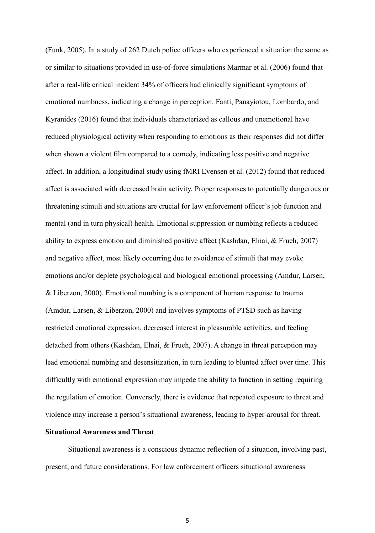(Funk, 2005). In a study of 262 Dutch police officers who experienced a situation the same as or similar to situations provided in use-of-force simulations Marmar et al. (2006) found that after a real-life critical incident 34% of officers had clinically significant symptoms of emotional numbness, indicating a change in perception. Fanti, Panayiotou, Lombardo, and Kyranides (2016) found that individuals characterized as callous and unemotional have reduced physiological activity when responding to emotions as their responses did not differ when shown a violent film compared to a comedy, indicating less positive and negative affect. In addition, a longitudinal study using fMRI Evensen et al. (2012) found that reduced affect is associated with decreased brain activity. Proper responses to potentially dangerous or threatening stimuli and situations are crucial for law enforcement officer's job function and mental (and in turn physical) health. Emotional suppression or numbing reflects a reduced ability to express emotion and diminished positive affect (Kashdan, Elnai, & Frueh, 2007) and negative affect, most likely occurring due to avoidance of stimuli that may evoke emotions and/or deplete psychological and biological emotional processing (Amdur, Larsen, & Liberzon, 2000). Emotional numbing is a component of human response to trauma (Amdur, Larsen, & Liberzon, 2000) and involves symptoms of PTSD such as having restricted emotional expression, decreased interest in pleasurable activities, and feeling detached from others (Kashdan, Elnai, & Frueh, 2007). A change in threat perception may lead emotional numbing and desensitization, in turn leading to blunted affect over time. This difficultly with emotional expression may impede the ability to function in setting requiring the regulation of emotion. Conversely, there is evidence that repeated exposure to threat and violence may increase a person's situational awareness, leading to hyper-arousal for threat.

#### **Situational Awareness and Threat**

Situational awareness is a conscious dynamic reflection of a situation, involving past, present, and future considerations. For law enforcement officers situational awareness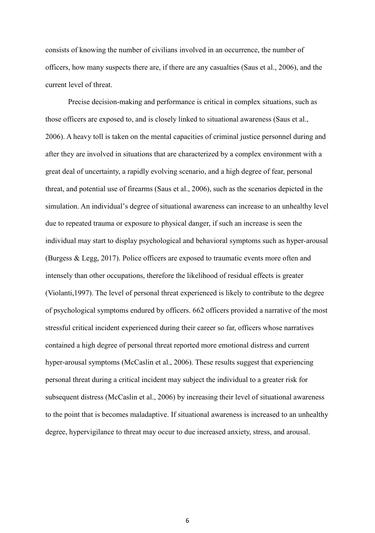consists of knowing the number of civilians involved in an occurrence, the number of officers, how many suspects there are, if there are any casualties (Saus et al., 2006), and the current level of threat.

Precise decision-making and performance is critical in complex situations, such as those officers are exposed to, and is closely linked to situational awareness (Saus et al., 2006). A heavy toll is taken on the mental capacities of criminal justice personnel during and after they are involved in situations that are characterized by a complex environment with a great deal of uncertainty, a rapidly evolving scenario, and a high degree of fear, personal threat, and potential use of firearms (Saus et al., 2006), such as the scenarios depicted in the simulation. An individual's degree of situational awareness can increase to an unhealthy level due to repeated trauma or exposure to physical danger, if such an increase is seen the individual may start to display psychological and behavioral symptoms such as hyper-arousal (Burgess & Legg, 2017). Police officers are exposed to traumatic events more often and intensely than other occupations, therefore the likelihood of residual effects is greater (Violanti,1997). The level of personal threat experienced is likely to contribute to the degree of psychological symptoms endured by officers. 662 officers provided a narrative of the most stressful critical incident experienced during their career so far, officers whose narratives contained a high degree of personal threat reported more emotional distress and current hyper-arousal symptoms (McCaslin et al., 2006). These results suggest that experiencing personal threat during a critical incident may subject the individual to a greater risk for subsequent distress (McCaslin et al., 2006) by increasing their level of situational awareness to the point that is becomes maladaptive. If situational awareness is increased to an unhealthy degree, hypervigilance to threat may occur to due increased anxiety, stress, and arousal.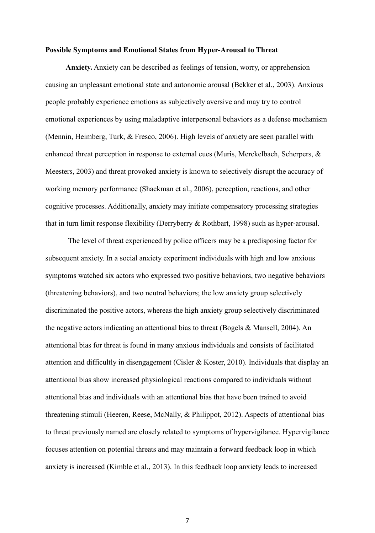#### **Possible Symptoms and Emotional States from Hyper-Arousal to Threat**

 **Anxiety.** Anxiety can be described as feelings of tension, worry, or apprehension causing an unpleasant emotional state and autonomic arousal (Bekker et al., 2003). Anxious people probably experience emotions as subjectively aversive and may try to control emotional experiences by using maladaptive interpersonal behaviors as a defense mechanism (Mennin, Heimberg, Turk, & Fresco, 2006). High levels of anxiety are seen parallel with enhanced threat perception in response to external cues (Muris, Merckelbach, Scherpers, & Meesters, 2003) and threat provoked anxiety is known to selectively disrupt the accuracy of working memory performance (Shackman et al., 2006), perception, reactions, and other cognitive processes. Additionally, anxiety may initiate compensatory processing strategies that in turn limit response flexibility (Derryberry & Rothbart, 1998) such as hyper-arousal.

The level of threat experienced by police officers may be a predisposing factor for subsequent anxiety. In a social anxiety experiment individuals with high and low anxious symptoms watched six actors who expressed two positive behaviors, two negative behaviors (threatening behaviors), and two neutral behaviors; the low anxiety group selectively discriminated the positive actors, whereas the high anxiety group selectively discriminated the negative actors indicating an attentional bias to threat (Bogels & Mansell, 2004). An attentional bias for threat is found in many anxious individuals and consists of facilitated attention and difficultly in disengagement (Cisler & Koster, 2010). Individuals that display an attentional bias show increased physiological reactions compared to individuals without attentional bias and individuals with an attentional bias that have been trained to avoid threatening stimuli (Heeren, Reese, McNally, & Philippot, 2012). Aspects of attentional bias to threat previously named are closely related to symptoms of hypervigilance. Hypervigilance focuses attention on potential threats and may maintain a forward feedback loop in which anxiety is increased (Kimble et al., 2013). In this feedback loop anxiety leads to increased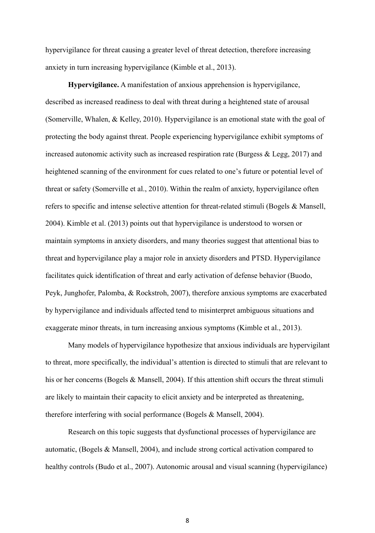hypervigilance for threat causing a greater level of threat detection, therefore increasing anxiety in turn increasing hypervigilance (Kimble et al., 2013).

**Hypervigilance.** A manifestation of anxious apprehension is hypervigilance, described as increased readiness to deal with threat during a heightened state of arousal (Somerville, Whalen, & Kelley, 2010). Hypervigilance is an emotional state with the goal of protecting the body against threat. People experiencing hypervigilance exhibit symptoms of increased autonomic activity such as increased respiration rate (Burgess & Legg, 2017) and heightened scanning of the environment for cues related to one's future or potential level of threat or safety (Somerville et al., 2010). Within the realm of anxiety, hypervigilance often refers to specific and intense selective attention for threat-related stimuli (Bogels & Mansell, 2004). Kimble et al. (2013) points out that hypervigilance is understood to worsen or maintain symptoms in anxiety disorders, and many theories suggest that attentional bias to threat and hypervigilance play a major role in anxiety disorders and PTSD. Hypervigilance facilitates quick identification of threat and early activation of defense behavior (Buodo, Peyk, Junghofer, Palomba, & Rockstroh, 2007), therefore anxious symptoms are exacerbated by hypervigilance and individuals affected tend to misinterpret ambiguous situations and exaggerate minor threats, in turn increasing anxious symptoms (Kimble et al., 2013).

Many models of hypervigilance hypothesize that anxious individuals are hypervigilant to threat, more specifically, the individual's attention is directed to stimuli that are relevant to his or her concerns (Bogels & Mansell, 2004). If this attention shift occurs the threat stimuli are likely to maintain their capacity to elicit anxiety and be interpreted as threatening, therefore interfering with social performance (Bogels & Mansell, 2004).

Research on this topic suggests that dysfunctional processes of hypervigilance are automatic, (Bogels & Mansell, 2004), and include strong cortical activation compared to healthy controls (Budo et al., 2007). Autonomic arousal and visual scanning (hypervigilance)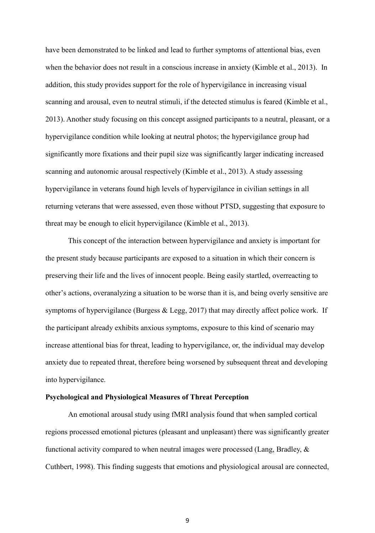have been demonstrated to be linked and lead to further symptoms of attentional bias, even when the behavior does not result in a conscious increase in anxiety (Kimble et al., 2013). In addition, this study provides support for the role of hypervigilance in increasing visual scanning and arousal, even to neutral stimuli, if the detected stimulus is feared (Kimble et al., 2013). Another study focusing on this concept assigned participants to a neutral, pleasant, or a hypervigilance condition while looking at neutral photos; the hypervigilance group had significantly more fixations and their pupil size was significantly larger indicating increased scanning and autonomic arousal respectively (Kimble et al., 2013). A study assessing hypervigilance in veterans found high levels of hypervigilance in civilian settings in all returning veterans that were assessed, even those without PTSD, suggesting that exposure to threat may be enough to elicit hypervigilance (Kimble et al., 2013).

This concept of the interaction between hypervigilance and anxiety is important for the present study because participants are exposed to a situation in which their concern is preserving their life and the lives of innocent people. Being easily startled, overreacting to other's actions, overanalyzing a situation to be worse than it is, and being overly sensitive are symptoms of hypervigilance (Burgess & Legg, 2017) that may directly affect police work. If the participant already exhibits anxious symptoms, exposure to this kind of scenario may increase attentional bias for threat, leading to hypervigilance, or, the individual may develop anxiety due to repeated threat, therefore being worsened by subsequent threat and developing into hypervigilance.

#### **Psychological and Physiological Measures of Threat Perception**

An emotional arousal study using fMRI analysis found that when sampled cortical regions processed emotional pictures (pleasant and unpleasant) there was significantly greater functional activity compared to when neutral images were processed (Lang, Bradley, & Cuthbert, 1998). This finding suggests that emotions and physiological arousal are connected,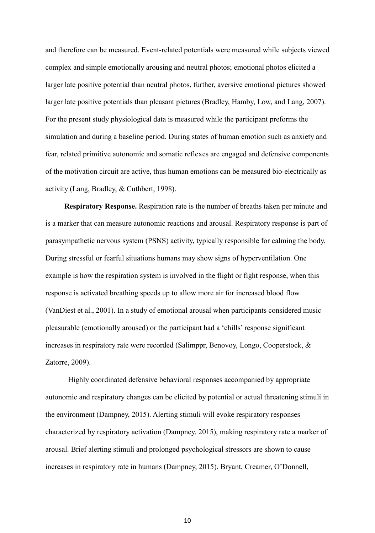and therefore can be measured. Event-related potentials were measured while subjects viewed complex and simple emotionally arousing and neutral photos; emotional photos elicited a larger late positive potential than neutral photos, further, aversive emotional pictures showed larger late positive potentials than pleasant pictures (Bradley, Hamby, Low, and Lang, 2007). For the present study physiological data is measured while the participant preforms the simulation and during a baseline period. During states of human emotion such as anxiety and fear, related primitive autonomic and somatic reflexes are engaged and defensive components of the motivation circuit are active, thus human emotions can be measured bio-electrically as activity (Lang, Bradley, & Cuthbert, 1998).

 **Respiratory Response.** Respiration rate is the number of breaths taken per minute and is a marker that can measure autonomic reactions and arousal. Respiratory response is part of parasympathetic nervous system (PSNS) activity, typically responsible for calming the body. During stressful or fearful situations humans may show signs of hyperventilation. One example is how the respiration system is involved in the flight or fight response, when this response is activated breathing speeds up to allow more air for increased blood flow (VanDiest et al., 2001). In a study of emotional arousal when participants considered music pleasurable (emotionally aroused) or the participant had a 'chills' response significant increases in respiratory rate were recorded (Salimppr, Benovoy, Longo, Cooperstock, & Zatorre, 2009).

Highly coordinated defensive behavioral responses accompanied by appropriate autonomic and respiratory changes can be elicited by potential or actual threatening stimuli in the environment (Dampney, 2015). Alerting stimuli will evoke respiratory responses characterized by respiratory activation (Dampney, 2015), making respiratory rate a marker of arousal. Brief alerting stimuli and prolonged psychological stressors are shown to cause increases in respiratory rate in humans (Dampney, 2015). Bryant, Creamer, O'Donnell,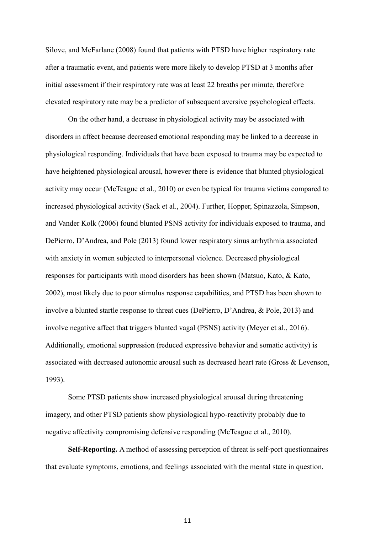Silove, and McFarlane (2008) found that patients with PTSD have higher respiratory rate after a traumatic event, and patients were more likely to develop PTSD at 3 months after initial assessment if their respiratory rate was at least 22 breaths per minute, therefore elevated respiratory rate may be a predictor of subsequent aversive psychological effects.

On the other hand, a decrease in physiological activity may be associated with disorders in affect because decreased emotional responding may be linked to a decrease in physiological responding. Individuals that have been exposed to trauma may be expected to have heightened physiological arousal, however there is evidence that blunted physiological activity may occur (McTeague et al., 2010) or even be typical for trauma victims compared to increased physiological activity (Sack et al., 2004). Further, Hopper, Spinazzola, Simpson, and Vander Kolk (2006) found blunted PSNS activity for individuals exposed to trauma, and DePierro, D'Andrea, and Pole (2013) found lower respiratory sinus arrhythmia associated with anxiety in women subjected to interpersonal violence. Decreased physiological responses for participants with mood disorders has been shown (Matsuo, Kato, & Kato, 2002), most likely due to poor stimulus response capabilities, and PTSD has been shown to involve a blunted startle response to threat cues (DePierro, D'Andrea, & Pole, 2013) and involve negative affect that triggers blunted vagal (PSNS) activity (Meyer et al., 2016). Additionally, emotional suppression (reduced expressive behavior and somatic activity) is associated with decreased autonomic arousal such as decreased heart rate (Gross & Levenson, 1993).

Some PTSD patients show increased physiological arousal during threatening imagery, and other PTSD patients show physiological hypo-reactivity probably due to negative affectivity compromising defensive responding (McTeague et al., 2010).

**Self-Reporting.** A method of assessing perception of threat is self-port questionnaires that evaluate symptoms, emotions, and feelings associated with the mental state in question.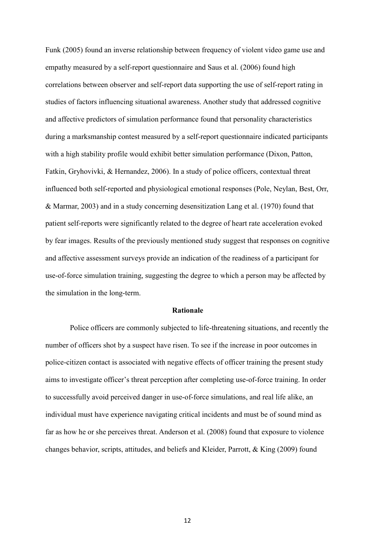Funk (2005) found an inverse relationship between frequency of violent video game use and empathy measured by a self-report questionnaire and Saus et al. (2006) found high correlations between observer and self-report data supporting the use of self-report rating in studies of factors influencing situational awareness. Another study that addressed cognitive and affective predictors of simulation performance found that personality characteristics during a marksmanship contest measured by a self-report questionnaire indicated participants with a high stability profile would exhibit better simulation performance (Dixon, Patton, Fatkin, Gryhovivki, & Hernandez, 2006). In a study of police officers, contextual threat influenced both self-reported and physiological emotional responses (Pole, Neylan, Best, Orr, & Marmar, 2003) and in a study concerning desensitization Lang et al. (1970) found that patient self-reports were significantly related to the degree of heart rate acceleration evoked by fear images. Results of the previously mentioned study suggest that responses on cognitive and affective assessment surveys provide an indication of the readiness of a participant for use-of-force simulation training, suggesting the degree to which a person may be affected by the simulation in the long-term.

#### **Rationale**

Police officers are commonly subjected to life-threatening situations, and recently the number of officers shot by a suspect have risen. To see if the increase in poor outcomes in police-citizen contact is associated with negative effects of officer training the present study aims to investigate officer's threat perception after completing use-of-force training. In order to successfully avoid perceived danger in use-of-force simulations, and real life alike, an individual must have experience navigating critical incidents and must be of sound mind as far as how he or she perceives threat. Anderson et al. (2008) found that exposure to violence changes behavior, scripts, attitudes, and beliefs and Kleider, Parrott, & King (2009) found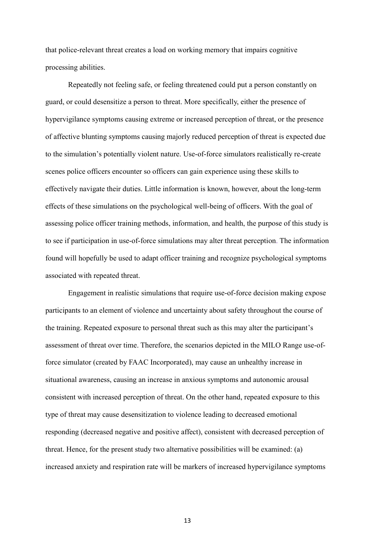that police-relevant threat creates a load on working memory that impairs cognitive processing abilities.

Repeatedly not feeling safe, or feeling threatened could put a person constantly on guard, or could desensitize a person to threat. More specifically, either the presence of hypervigilance symptoms causing extreme or increased perception of threat, or the presence of affective blunting symptoms causing majorly reduced perception of threat is expected due to the simulation's potentially violent nature. Use-of-force simulators realistically re-create scenes police officers encounter so officers can gain experience using these skills to effectively navigate their duties. Little information is known, however, about the long-term effects of these simulations on the psychological well-being of officers. With the goal of assessing police officer training methods, information, and health, the purpose of this study is to see if participation in use-of-force simulations may alter threat perception. The information found will hopefully be used to adapt officer training and recognize psychological symptoms associated with repeated threat.

Engagement in realistic simulations that require use-of-force decision making expose participants to an element of violence and uncertainty about safety throughout the course of the training. Repeated exposure to personal threat such as this may alter the participant's assessment of threat over time. Therefore, the scenarios depicted in the MILO Range use-offorce simulator (created by FAAC Incorporated), may cause an unhealthy increase in situational awareness, causing an increase in anxious symptoms and autonomic arousal consistent with increased perception of threat. On the other hand, repeated exposure to this type of threat may cause desensitization to violence leading to decreased emotional responding (decreased negative and positive affect), consistent with decreased perception of threat. Hence, for the present study two alternative possibilities will be examined: (a) increased anxiety and respiration rate will be markers of increased hypervigilance symptoms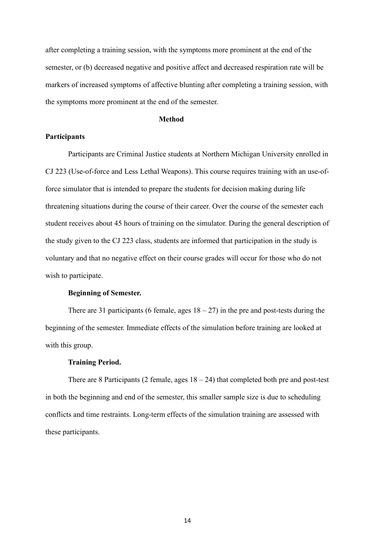after completing a training session, with the symptoms more prominent at the end of the semester, or (b) decreased negative and positive affect and decreased respiration rate will be markers of increased symptoms of affective blunting after completing a training session, with the symptoms more prominent at the end of the semester.

#### **Method**

#### **Participants**

Participants are Criminal Justice students at Northern Michigan University enrolled in CJ 223 (Use-of-force and Less Lethal Weapons). This course requires training with an use-offorce simulator that is intended to prepare the students for decision making during life threatening situations during the course of their career. Over the course of the semester each student receives about 45 hours of training on the simulator. During the general description of the study given to the CJ 223 class, students are informed that participation in the study is voluntary and that no negative effect on their course grades will occur for those who do not wish to participate.

#### **Beginning of Semester.**

There are 31 participants (6 female, ages  $18 - 27$ ) in the pre and post-tests during the beginning of the semester. Immediate effects of the simulation before training are looked at with this group.

#### **Training Period.**

There are 8 Participants (2 female, ages  $18 - 24$ ) that completed both pre and post-test in both the beginning and end of the semester, this smaller sample size is due to scheduling conflicts and time restraints. Long-term effects of the simulation training are assessed with these participants.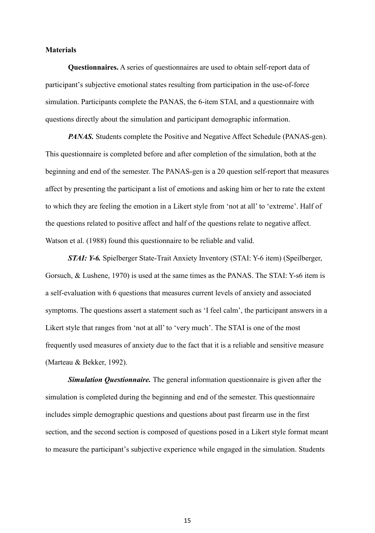#### **Materials**

**Questionnaires.** A series of questionnaires are used to obtain self-report data of participant's subjective emotional states resulting from participation in the use-of-force simulation. Participants complete the PANAS, the 6-item STAI, and a questionnaire with questions directly about the simulation and participant demographic information.

*PANAS*. Students complete the Positive and Negative Affect Schedule (PANAS-gen). This questionnaire is completed before and after completion of the simulation, both at the beginning and end of the semester. The PANAS-gen is a 20 question self-report that measures affect by presenting the participant a list of emotions and asking him or her to rate the extent to which they are feeling the emotion in a Likert style from 'not at all' to 'extreme'. Half of the questions related to positive affect and half of the questions relate to negative affect. Watson et al. (1988) found this questionnaire to be reliable and valid.

*STAI: Y-6.* Spielberger State-Trait Anxiety Inventory (STAI: Y-6 item) (Speilberger, Gorsuch, & Lushene, 1970) is used at the same times as the PANAS. The STAI: Y-s6 item is a self-evaluation with 6 questions that measures current levels of anxiety and associated symptoms. The questions assert a statement such as 'I feel calm', the participant answers in a Likert style that ranges from 'not at all' to 'very much'. The STAI is one of the most frequently used measures of anxiety due to the fact that it is a reliable and sensitive measure (Marteau & Bekker, 1992).

*Simulation Questionnaire.* The general information questionnaire is given after the simulation is completed during the beginning and end of the semester. This questionnaire includes simple demographic questions and questions about past firearm use in the first section, and the second section is composed of questions posed in a Likert style format meant to measure the participant's subjective experience while engaged in the simulation. Students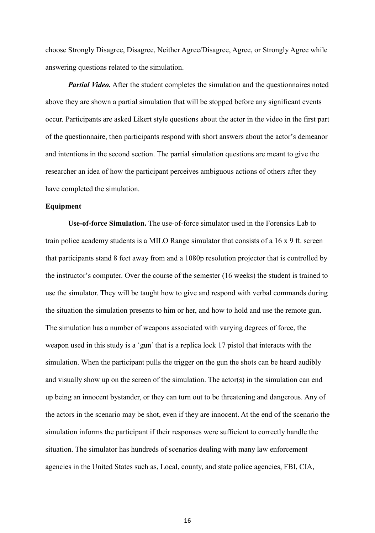choose Strongly Disagree, Disagree, Neither Agree/Disagree, Agree, or Strongly Agree while answering questions related to the simulation.

*Partial Video.* After the student completes the simulation and the questionnaires noted above they are shown a partial simulation that will be stopped before any significant events occur. Participants are asked Likert style questions about the actor in the video in the first part of the questionnaire, then participants respond with short answers about the actor's demeanor and intentions in the second section. The partial simulation questions are meant to give the researcher an idea of how the participant perceives ambiguous actions of others after they have completed the simulation.

#### **Equipment**

**Use-of-force Simulation.** The use-of-force simulator used in the Forensics Lab to train police academy students is a MILO Range simulator that consists of a 16 x 9 ft. screen that participants stand 8 feet away from and a 1080p resolution projector that is controlled by the instructor's computer. Over the course of the semester (16 weeks) the student is trained to use the simulator. They will be taught how to give and respond with verbal commands during the situation the simulation presents to him or her, and how to hold and use the remote gun. The simulation has a number of weapons associated with varying degrees of force, the weapon used in this study is a 'gun' that is a replica lock 17 pistol that interacts with the simulation. When the participant pulls the trigger on the gun the shots can be heard audibly and visually show up on the screen of the simulation. The actor(s) in the simulation can end up being an innocent bystander, or they can turn out to be threatening and dangerous. Any of the actors in the scenario may be shot, even if they are innocent. At the end of the scenario the simulation informs the participant if their responses were sufficient to correctly handle the situation. The simulator has hundreds of scenarios dealing with many law enforcement agencies in the United States such as, Local, county, and state police agencies, FBI, CIA,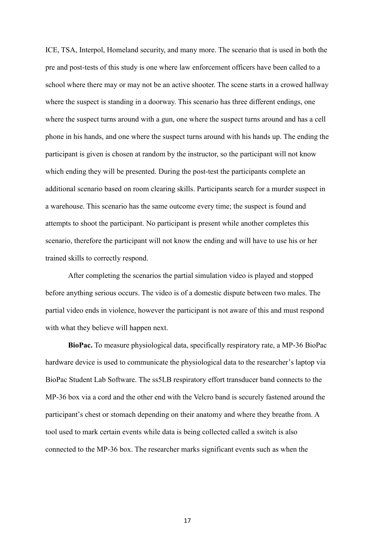ICE, TSA, Interpol, Homeland security, and many more. The scenario that is used in both the pre and post-tests of this study is one where law enforcement officers have been called to a school where there may or may not be an active shooter. The scene starts in a crowed hallway where the suspect is standing in a doorway. This scenario has three different endings, one where the suspect turns around with a gun, one where the suspect turns around and has a cell phone in his hands, and one where the suspect turns around with his hands up. The ending the participant is given is chosen at random by the instructor, so the participant will not know which ending they will be presented. During the post-test the participants complete an additional scenario based on room clearing skills. Participants search for a murder suspect in a warehouse. This scenario has the same outcome every time; the suspect is found and attempts to shoot the participant. No participant is present while another completes this scenario, therefore the participant will not know the ending and will have to use his or her trained skills to correctly respond.

After completing the scenarios the partial simulation video is played and stopped before anything serious occurs. The video is of a domestic dispute between two males. The partial video ends in violence, however the participant is not aware of this and must respond with what they believe will happen next.

**BioPac.** To measure physiological data, specifically respiratory rate, a MP-36 BioPac hardware device is used to communicate the physiological data to the researcher's laptop via BioPac Student Lab Software. The ss5LB respiratory effort transducer band connects to the MP-36 box via a cord and the other end with the Velcro band is securely fastened around the participant's chest or stomach depending on their anatomy and where they breathe from. A tool used to mark certain events while data is being collected called a switch is also connected to the MP-36 box. The researcher marks significant events such as when the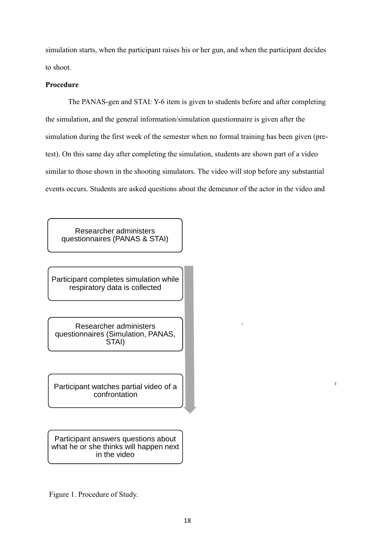simulation starts, when the participant raises his or her gun, and when the participant decides to shoot.

#### **Procedure**

The PANAS-gen and STAI: Y-6 item is given to students before and after completing the simulation, and the general information/simulation questionnaire is given after the simulation during the first week of the semester when no formal training has been given (pretest). On this same day after completing the simulation, students are shown part of a video similar to those shown in the shooting simulators. The video will stop before any substantial events occurs. Students are asked questions about the demeanor of the actor in the video and

Researcher administers questionnaires (PANAS & STAI)

Participant completes simulation while respiratory data is collected

Researcher administers questionnaires (Simulation, PANAS, STAI)

Participant watches partial video of a confrontation

Participant answers questions about what he or she thinks will happen next in the video

Figure 1. Procedure of Study.

È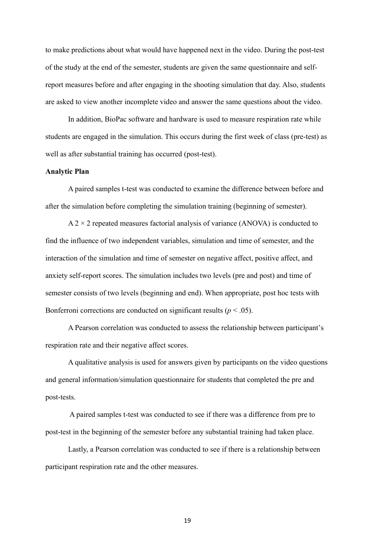to make predictions about what would have happened next in the video. During the post-test of the study at the end of the semester, students are given the same questionnaire and selfreport measures before and after engaging in the shooting simulation that day. Also, students are asked to view another incomplete video and answer the same questions about the video.

In addition, BioPac software and hardware is used to measure respiration rate while students are engaged in the simulation. This occurs during the first week of class (pre-test) as well as after substantial training has occurred (post-test).

#### **Analytic Plan**

A paired samples t-test was conducted to examine the difference between before and after the simulation before completing the simulation training (beginning of semester).

 $A$  2  $\times$  2 repeated measures factorial analysis of variance (ANOVA) is conducted to find the influence of two independent variables, simulation and time of semester, and the interaction of the simulation and time of semester on negative affect, positive affect, and anxiety self-report scores. The simulation includes two levels (pre and post) and time of semester consists of two levels (beginning and end). When appropriate, post hoc tests with Bonferroni corrections are conducted on significant results ( $p < .05$ ).

A Pearson correlation was conducted to assess the relationship between participant's respiration rate and their negative affect scores.

A qualitative analysis is used for answers given by participants on the video questions and general information/simulation questionnaire for students that completed the pre and post-tests.

A paired samples t-test was conducted to see if there was a difference from pre to post-test in the beginning of the semester before any substantial training had taken place.

Lastly, a Pearson correlation was conducted to see if there is a relationship between participant respiration rate and the other measures.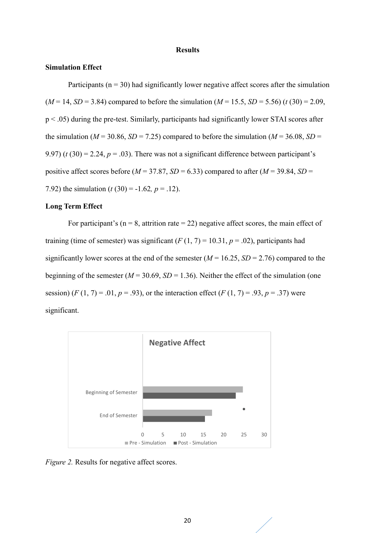#### **Results**

#### **Simulation Effect**

Participants ( $n = 30$ ) had significantly lower negative affect scores after the simulation  $(M = 14, SD = 3.84)$  compared to before the simulation  $(M = 15.5, SD = 5.56)$  (*t* (30) = 2.09, p < .05) during the pre-test. Similarly, participants had significantly lower STAI scores after the simulation ( $M = 30.86$ ,  $SD = 7.25$ ) compared to before the simulation ( $M = 36.08$ ,  $SD =$ 9.97) ( $t$  (30) = 2.24,  $p = .03$ ). There was not a significant difference between participant's positive affect scores before ( $M = 37.87$ ,  $SD = 6.33$ ) compared to after ( $M = 39.84$ ,  $SD =$ 7.92) the simulation  $(t(30) = -1.62, p = .12)$ .

#### **Long Term Effect**

For participant's ( $n = 8$ , attrition rate = 22) negative affect scores, the main effect of training (time of semester) was significant  $(F(1, 7) = 10.31, p = .02)$ , participants had significantly lower scores at the end of the semester (*M* = 16.25, *SD* = 2.76) compared to the beginning of the semester ( $M = 30.69$ ,  $SD = 1.36$ ). Neither the effect of the simulation (one session)  $(F(1, 7) = .01, p = .93)$ , or the interaction effect  $(F(1, 7) = .93, p = .37)$  were significant.



*Figure 2.* Results for negative affect scores.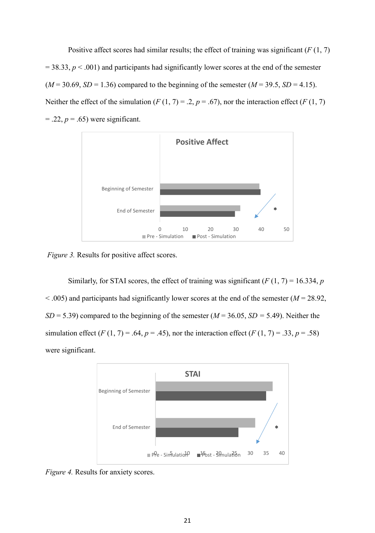Positive affect scores had similar results; the effect of training was significant (*F* (1, 7)  $= 38.33, p < .001$ ) and participants had significantly lower scores at the end of the semester  $(M = 30.69, SD = 1.36)$  compared to the beginning of the semester  $(M = 39.5, SD = 4.15)$ . Neither the effect of the simulation  $(F(1, 7) = .2, p = .67)$ , nor the interaction effect  $(F(1, 7))$  $= .22, p = .65$ ) were significant.



*Figure 3.* Results for positive affect scores.

Similarly, for STAI scores, the effect of training was significant  $(F(1, 7) = 16.334, p$  $<$  0.05) and participants had significantly lower scores at the end of the semester ( $M = 28.92$ , *SD* = 5.39) compared to the beginning of the semester (*M* = 36.05, *SD =* 5.49). Neither the simulation effect (*F* (1, 7) = .64, *p* = .45), nor the interaction effect (*F* (1, 7) = .33, *p* = .58) were significant.



*Figure 4.* Results for anxiety scores.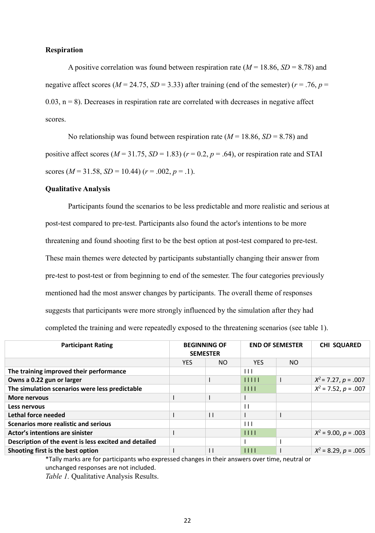#### **Respiration**

A positive correlation was found between respiration rate  $(M = 18.86, SD = 8.78)$  and negative affect scores ( $M = 24.75$ ,  $SD = 3.33$ ) after training (end of the semester) ( $r = .76$ ,  $p =$  $0.03$ ,  $n = 8$ ). Decreases in respiration rate are correlated with decreases in negative affect scores.

No relationship was found between respiration rate  $(M = 18.86, SD = 8.78)$  and positive affect scores ( $M = 31.75$ ,  $SD = 1.83$ ) ( $r = 0.2$ ,  $p = .64$ ), or respiration rate and STAI scores ( $M = 31.58$ ,  $SD = 10.44$ ) ( $r = .002$ ,  $p = .1$ ).

#### **Qualitative Analysis**

Participants found the scenarios to be less predictable and more realistic and serious at post-test compared to pre-test. Participants also found the actor's intentions to be more threatening and found shooting first to be the best option at post-test compared to pre-test. These main themes were detected by participants substantially changing their answer from pre-test to post-test or from beginning to end of the semester. The four categories previously mentioned had the most answer changes by participants. The overall theme of responses suggests that participants were more strongly influenced by the simulation after they had completed the training and were repeatedly exposed to the threatening scenarios (see table 1).

| <b>Participant Rating</b>                             | <b>BEGINNING OF</b><br><b>SEMESTER</b> |              | <b>END OF SEMESTER</b> |     | <b>CHI SQUARED</b>       |  |
|-------------------------------------------------------|----------------------------------------|--------------|------------------------|-----|--------------------------|--|
|                                                       | YES.                                   | NO.          | <b>YES</b>             | NO. |                          |  |
| The training improved their performance               |                                        |              | $\blacksquare$         |     |                          |  |
| Owns a 0.22 gun or larger                             |                                        |              | 11111                  |     | $X^2$ = 7.27, p = .007   |  |
| The simulation scenarios were less predictable        |                                        |              | 1111                   |     | $X^2$ = 7.52, $p = .007$ |  |
| <b>More nervous</b>                                   |                                        |              |                        |     |                          |  |
| Less nervous                                          |                                        |              | $\perp$                |     |                          |  |
| Lethal force needed                                   |                                        | $\mathsf{L}$ |                        |     |                          |  |
| <b>Scenarios more realistic and serious</b>           |                                        |              | $\perp$                |     |                          |  |
| Actor's intentions are sinister                       |                                        |              | 1111                   |     | $X^2$ = 9.00, p = .003   |  |
| Description of the event is less excited and detailed |                                        |              |                        |     |                          |  |
| Shooting first is the best option                     |                                        | $\mathsf{I}$ | 1111                   |     | $X^2$ = 8.29, p = .005   |  |
|                                                       |                                        |              |                        |     |                          |  |

\*Tally marks are for participants who expressed changes in their answers over time, neutral or unchanged responses are not included.

*Table 1.* Qualitative Analysis Results.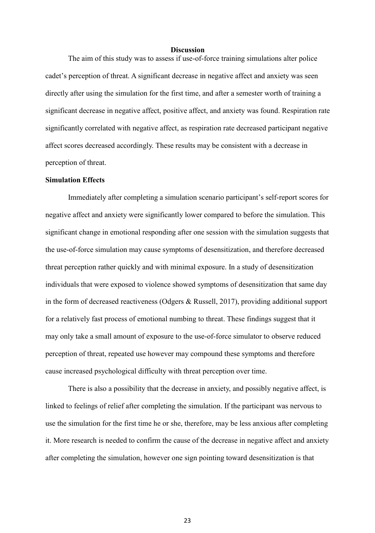#### **Discussion**

The aim of this study was to assess if use-of-force training simulations alter police cadet's perception of threat. A significant decrease in negative affect and anxiety was seen directly after using the simulation for the first time, and after a semester worth of training a significant decrease in negative affect, positive affect, and anxiety was found. Respiration rate significantly correlated with negative affect, as respiration rate decreased participant negative affect scores decreased accordingly. These results may be consistent with a decrease in perception of threat.

#### **Simulation Effects**

Immediately after completing a simulation scenario participant's self-report scores for negative affect and anxiety were significantly lower compared to before the simulation. This significant change in emotional responding after one session with the simulation suggests that the use-of-force simulation may cause symptoms of desensitization, and therefore decreased threat perception rather quickly and with minimal exposure. In a study of desensitization individuals that were exposed to violence showed symptoms of desensitization that same day in the form of decreased reactiveness (Odgers & Russell, 2017), providing additional support for a relatively fast process of emotional numbing to threat. These findings suggest that it may only take a small amount of exposure to the use-of-force simulator to observe reduced perception of threat, repeated use however may compound these symptoms and therefore cause increased psychological difficulty with threat perception over time.

There is also a possibility that the decrease in anxiety, and possibly negative affect, is linked to feelings of relief after completing the simulation. If the participant was nervous to use the simulation for the first time he or she, therefore, may be less anxious after completing it. More research is needed to confirm the cause of the decrease in negative affect and anxiety after completing the simulation, however one sign pointing toward desensitization is that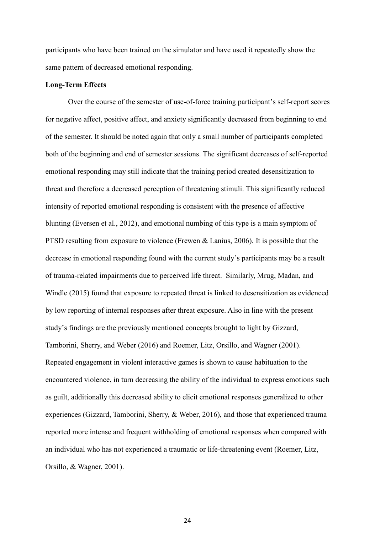participants who have been trained on the simulator and have used it repeatedly show the same pattern of decreased emotional responding.

#### **Long-Term Effects**

Over the course of the semester of use-of-force training participant's self-report scores for negative affect, positive affect, and anxiety significantly decreased from beginning to end of the semester. It should be noted again that only a small number of participants completed both of the beginning and end of semester sessions. The significant decreases of self-reported emotional responding may still indicate that the training period created desensitization to threat and therefore a decreased perception of threatening stimuli. This significantly reduced intensity of reported emotional responding is consistent with the presence of affective blunting (Eversen et al., 2012), and emotional numbing of this type is a main symptom of PTSD resulting from exposure to violence (Frewen & Lanius, 2006). It is possible that the decrease in emotional responding found with the current study's participants may be a result of trauma-related impairments due to perceived life threat. Similarly, Mrug, Madan, and Windle (2015) found that exposure to repeated threat is linked to desensitization as evidenced by low reporting of internal responses after threat exposure. Also in line with the present study's findings are the previously mentioned concepts brought to light by Gizzard, Tamborini, Sherry, and Weber (2016) and Roemer, Litz, Orsillo, and Wagner (2001). Repeated engagement in violent interactive games is shown to cause habituation to the encountered violence, in turn decreasing the ability of the individual to express emotions such as guilt, additionally this decreased ability to elicit emotional responses generalized to other experiences (Gizzard, Tamborini, Sherry, & Weber, 2016), and those that experienced trauma reported more intense and frequent withholding of emotional responses when compared with an individual who has not experienced a traumatic or life-threatening event (Roemer, Litz, Orsillo, & Wagner, 2001).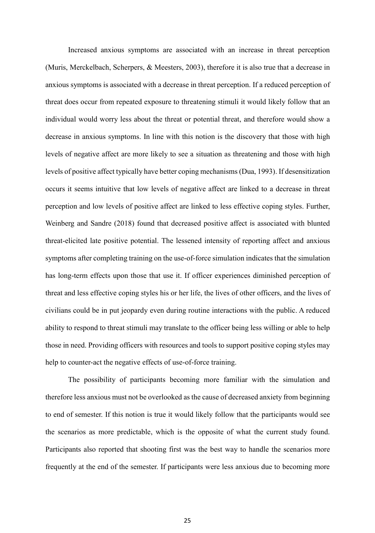Increased anxious symptoms are associated with an increase in threat perception (Muris, Merckelbach, Scherpers, & Meesters, 2003), therefore it is also true that a decrease in anxious symptoms is associated with a decrease in threat perception. If a reduced perception of threat does occur from repeated exposure to threatening stimuli it would likely follow that an individual would worry less about the threat or potential threat, and therefore would show a decrease in anxious symptoms. In line with this notion is the discovery that those with high levels of negative affect are more likely to see a situation as threatening and those with high levels of positive affect typically have better coping mechanisms (Dua, 1993). If desensitization occurs it seems intuitive that low levels of negative affect are linked to a decrease in threat perception and low levels of positive affect are linked to less effective coping styles. Further, Weinberg and Sandre (2018) found that decreased positive affect is associated with blunted threat-elicited late positive potential. The lessened intensity of reporting affect and anxious symptoms after completing training on the use-of-force simulation indicates that the simulation has long-term effects upon those that use it. If officer experiences diminished perception of threat and less effective coping styles his or her life, the lives of other officers, and the lives of civilians could be in put jeopardy even during routine interactions with the public. A reduced ability to respond to threat stimuli may translate to the officer being less willing or able to help those in need. Providing officers with resources and tools to support positive coping styles may help to counter-act the negative effects of use-of-force training.

The possibility of participants becoming more familiar with the simulation and therefore less anxious must not be overlooked as the cause of decreased anxiety from beginning to end of semester. If this notion is true it would likely follow that the participants would see the scenarios as more predictable, which is the opposite of what the current study found. Participants also reported that shooting first was the best way to handle the scenarios more frequently at the end of the semester. If participants were less anxious due to becoming more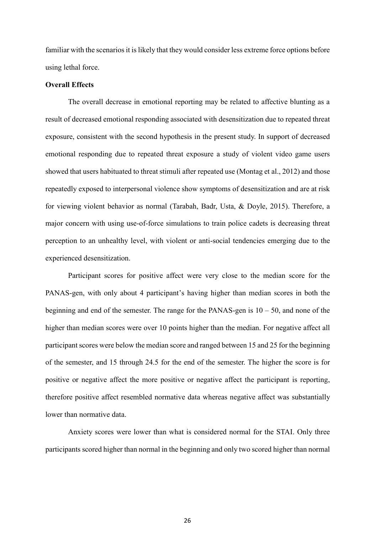familiar with the scenarios it is likely that they would consider less extreme force options before using lethal force.

#### **Overall Effects**

The overall decrease in emotional reporting may be related to affective blunting as a result of decreased emotional responding associated with desensitization due to repeated threat exposure, consistent with the second hypothesis in the present study. In support of decreased emotional responding due to repeated threat exposure a study of violent video game users showed that users habituated to threat stimuli after repeated use (Montag et al., 2012) and those repeatedly exposed to interpersonal violence show symptoms of desensitization and are at risk for viewing violent behavior as normal (Tarabah, Badr, Usta, & Doyle, 2015). Therefore, a major concern with using use-of-force simulations to train police cadets is decreasing threat perception to an unhealthy level, with violent or anti-social tendencies emerging due to the experienced desensitization.

Participant scores for positive affect were very close to the median score for the PANAS-gen, with only about 4 participant's having higher than median scores in both the beginning and end of the semester. The range for the PANAS-gen is  $10 - 50$ , and none of the higher than median scores were over 10 points higher than the median. For negative affect all participant scores were below the median score and ranged between 15 and 25 for the beginning of the semester, and 15 through 24.5 for the end of the semester. The higher the score is for positive or negative affect the more positive or negative affect the participant is reporting, therefore positive affect resembled normative data whereas negative affect was substantially lower than normative data.

Anxiety scores were lower than what is considered normal for the STAI. Only three participants scored higher than normal in the beginning and only two scored higher than normal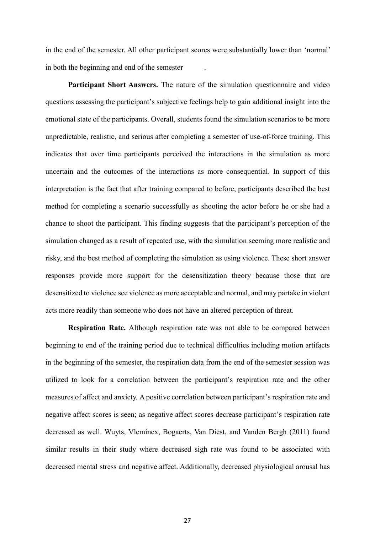in the end of the semester. All other participant scores were substantially lower than 'normal' in both the beginning and end of the semester .

**Participant Short Answers.** The nature of the simulation questionnaire and video questions assessing the participant's subjective feelings help to gain additional insight into the emotional state of the participants. Overall, students found the simulation scenarios to be more unpredictable, realistic, and serious after completing a semester of use-of-force training. This indicates that over time participants perceived the interactions in the simulation as more uncertain and the outcomes of the interactions as more consequential. In support of this interpretation is the fact that after training compared to before, participants described the best method for completing a scenario successfully as shooting the actor before he or she had a chance to shoot the participant. This finding suggests that the participant's perception of the simulation changed as a result of repeated use, with the simulation seeming more realistic and risky, and the best method of completing the simulation as using violence. These short answer responses provide more support for the desensitization theory because those that are desensitized to violence see violence as more acceptable and normal, and may partake in violent acts more readily than someone who does not have an altered perception of threat.

**Respiration Rate.** Although respiration rate was not able to be compared between beginning to end of the training period due to technical difficulties including motion artifacts in the beginning of the semester, the respiration data from the end of the semester session was utilized to look for a correlation between the participant's respiration rate and the other measures of affect and anxiety. A positive correlation between participant's respiration rate and negative affect scores is seen; as negative affect scores decrease participant's respiration rate decreased as well. Wuyts, Vlemincx, Bogaerts, Van Diest, and Vanden Bergh (2011) found similar results in their study where decreased sigh rate was found to be associated with decreased mental stress and negative affect. Additionally, decreased physiological arousal has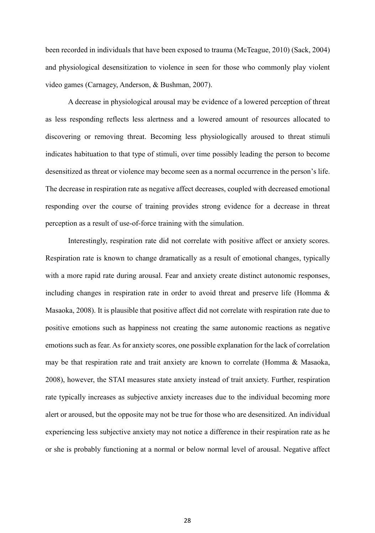been recorded in individuals that have been exposed to trauma (McTeague, 2010) (Sack, 2004) and physiological desensitization to violence in seen for those who commonly play violent video games (Carnagey, Anderson, & Bushman, 2007).

A decrease in physiological arousal may be evidence of a lowered perception of threat as less responding reflects less alertness and a lowered amount of resources allocated to discovering or removing threat. Becoming less physiologically aroused to threat stimuli indicates habituation to that type of stimuli, over time possibly leading the person to become desensitized as threat or violence may become seen as a normal occurrence in the person's life. The decrease in respiration rate as negative affect decreases, coupled with decreased emotional responding over the course of training provides strong evidence for a decrease in threat perception as a result of use-of-force training with the simulation.

Interestingly, respiration rate did not correlate with positive affect or anxiety scores. Respiration rate is known to change dramatically as a result of emotional changes, typically with a more rapid rate during arousal. Fear and anxiety create distinct autonomic responses, including changes in respiration rate in order to avoid threat and preserve life (Homma & Masaoka, 2008). It is plausible that positive affect did not correlate with respiration rate due to positive emotions such as happiness not creating the same autonomic reactions as negative emotions such as fear. As for anxiety scores, one possible explanation for the lack of correlation may be that respiration rate and trait anxiety are known to correlate (Homma & Masaoka, 2008), however, the STAI measures state anxiety instead of trait anxiety. Further, respiration rate typically increases as subjective anxiety increases due to the individual becoming more alert or aroused, but the opposite may not be true for those who are desensitized. An individual experiencing less subjective anxiety may not notice a difference in their respiration rate as he or she is probably functioning at a normal or below normal level of arousal. Negative affect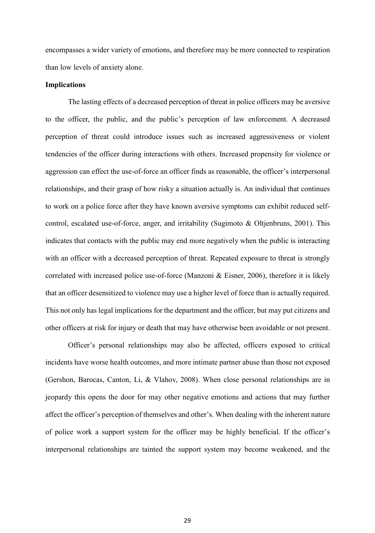encompasses a wider variety of emotions, and therefore may be more connected to respiration than low levels of anxiety alone.

#### **Implications**

The lasting effects of a decreased perception of threat in police officers may be aversive to the officer, the public, and the public's perception of law enforcement. A decreased perception of threat could introduce issues such as increased aggressiveness or violent tendencies of the officer during interactions with others. Increased propensity for violence or aggression can effect the use-of-force an officer finds as reasonable, the officer's interpersonal relationships, and their grasp of how risky a situation actually is. An individual that continues to work on a police force after they have known aversive symptoms can exhibit reduced selfcontrol, escalated use-of-force, anger, and irritability (Sugimoto & Oltjenbruns, 2001). This indicates that contacts with the public may end more negatively when the public is interacting with an officer with a decreased perception of threat. Repeated exposure to threat is strongly correlated with increased police use-of-force (Manzoni & Eisner, 2006), therefore it is likely that an officer desensitized to violence may use a higher level of force than is actually required. This not only has legal implications for the department and the officer, but may put citizens and other officers at risk for injury or death that may have otherwise been avoidable or not present.

Officer's personal relationships may also be affected, officers exposed to critical incidents have worse health outcomes, and more intimate partner abuse than those not exposed (Gershon, Barocas, Canton, Li, & Vlahov, 2008). When close personal relationships are in jeopardy this opens the door for may other negative emotions and actions that may further affect the officer's perception of themselves and other's. When dealing with the inherent nature of police work a support system for the officer may be highly beneficial. If the officer's interpersonal relationships are tainted the support system may become weakened, and the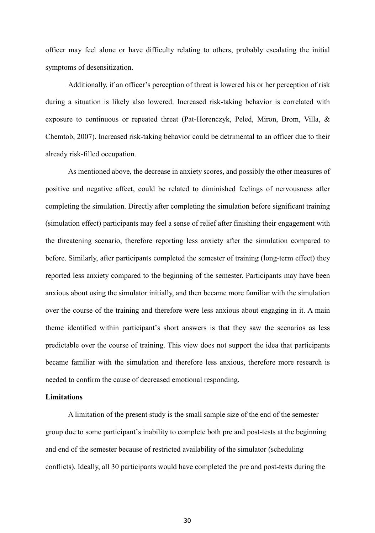officer may feel alone or have difficulty relating to others, probably escalating the initial symptoms of desensitization.

Additionally, if an officer's perception of threat is lowered his or her perception of risk during a situation is likely also lowered. Increased risk-taking behavior is correlated with exposure to continuous or repeated threat (Pat-Horenczyk, Peled, Miron, Brom, Villa, & Chemtob, 2007). Increased risk-taking behavior could be detrimental to an officer due to their already risk-filled occupation.

As mentioned above, the decrease in anxiety scores, and possibly the other measures of positive and negative affect, could be related to diminished feelings of nervousness after completing the simulation. Directly after completing the simulation before significant training (simulation effect) participants may feel a sense of relief after finishing their engagement with the threatening scenario, therefore reporting less anxiety after the simulation compared to before. Similarly, after participants completed the semester of training (long-term effect) they reported less anxiety compared to the beginning of the semester. Participants may have been anxious about using the simulator initially, and then became more familiar with the simulation over the course of the training and therefore were less anxious about engaging in it. A main theme identified within participant's short answers is that they saw the scenarios as less predictable over the course of training. This view does not support the idea that participants became familiar with the simulation and therefore less anxious, therefore more research is needed to confirm the cause of decreased emotional responding.

#### **Limitations**

A limitation of the present study is the small sample size of the end of the semester group due to some participant's inability to complete both pre and post-tests at the beginning and end of the semester because of restricted availability of the simulator (scheduling conflicts). Ideally, all 30 participants would have completed the pre and post-tests during the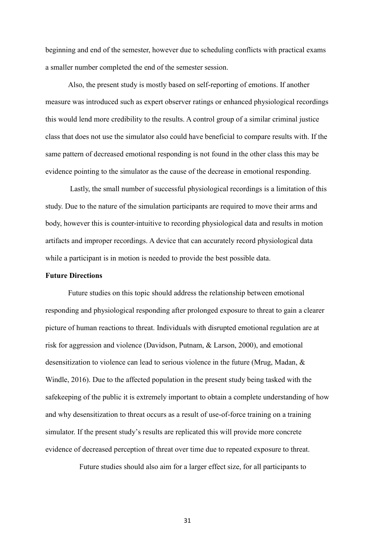beginning and end of the semester, however due to scheduling conflicts with practical exams a smaller number completed the end of the semester session.

Also, the present study is mostly based on self-reporting of emotions. If another measure was introduced such as expert observer ratings or enhanced physiological recordings this would lend more credibility to the results. A control group of a similar criminal justice class that does not use the simulator also could have beneficial to compare results with. If the same pattern of decreased emotional responding is not found in the other class this may be evidence pointing to the simulator as the cause of the decrease in emotional responding.

Lastly, the small number of successful physiological recordings is a limitation of this study. Due to the nature of the simulation participants are required to move their arms and body, however this is counter-intuitive to recording physiological data and results in motion artifacts and improper recordings. A device that can accurately record physiological data while a participant is in motion is needed to provide the best possible data.

#### **Future Directions**

Future studies on this topic should address the relationship between emotional responding and physiological responding after prolonged exposure to threat to gain a clearer picture of human reactions to threat. Individuals with disrupted emotional regulation are at risk for aggression and violence (Davidson, Putnam, & Larson, 2000), and emotional desensitization to violence can lead to serious violence in the future (Mrug, Madan, & Windle, 2016). Due to the affected population in the present study being tasked with the safekeeping of the public it is extremely important to obtain a complete understanding of how and why desensitization to threat occurs as a result of use-of-force training on a training simulator. If the present study's results are replicated this will provide more concrete evidence of decreased perception of threat over time due to repeated exposure to threat.

Future studies should also aim for a larger effect size, for all participants to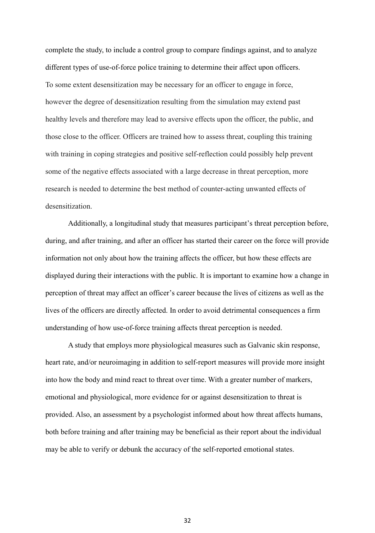complete the study, to include a control group to compare findings against, and to analyze different types of use-of-force police training to determine their affect upon officers. To some extent desensitization may be necessary for an officer to engage in force, however the degree of desensitization resulting from the simulation may extend past healthy levels and therefore may lead to aversive effects upon the officer, the public, and those close to the officer. Officers are trained how to assess threat, coupling this training with training in coping strategies and positive self-reflection could possibly help prevent some of the negative effects associated with a large decrease in threat perception, more research is needed to determine the best method of counter-acting unwanted effects of desensitization.

Additionally, a longitudinal study that measures participant's threat perception before, during, and after training, and after an officer has started their career on the force will provide information not only about how the training affects the officer, but how these effects are displayed during their interactions with the public. It is important to examine how a change in perception of threat may affect an officer's career because the lives of citizens as well as the lives of the officers are directly affected. In order to avoid detrimental consequences a firm understanding of how use-of-force training affects threat perception is needed.

A study that employs more physiological measures such as Galvanic skin response, heart rate, and/or neuroimaging in addition to self-report measures will provide more insight into how the body and mind react to threat over time. With a greater number of markers, emotional and physiological, more evidence for or against desensitization to threat is provided. Also, an assessment by a psychologist informed about how threat affects humans, both before training and after training may be beneficial as their report about the individual may be able to verify or debunk the accuracy of the self-reported emotional states.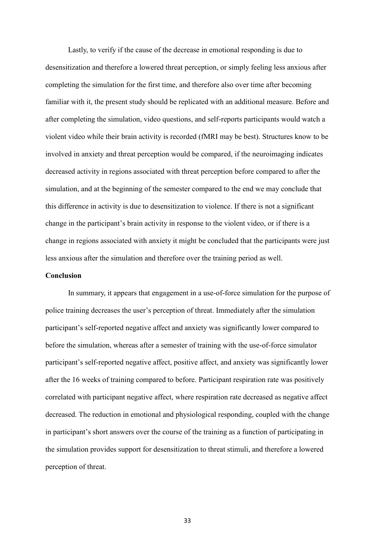Lastly, to verify if the cause of the decrease in emotional responding is due to desensitization and therefore a lowered threat perception, or simply feeling less anxious after completing the simulation for the first time, and therefore also over time after becoming familiar with it, the present study should be replicated with an additional measure. Before and after completing the simulation, video questions, and self-reports participants would watch a violent video while their brain activity is recorded (fMRI may be best). Structures know to be involved in anxiety and threat perception would be compared, if the neuroimaging indicates decreased activity in regions associated with threat perception before compared to after the simulation, and at the beginning of the semester compared to the end we may conclude that this difference in activity is due to desensitization to violence. If there is not a significant change in the participant's brain activity in response to the violent video, or if there is a change in regions associated with anxiety it might be concluded that the participants were just less anxious after the simulation and therefore over the training period as well.

#### **Conclusion**

In summary, it appears that engagement in a use-of-force simulation for the purpose of police training decreases the user's perception of threat. Immediately after the simulation participant's self-reported negative affect and anxiety was significantly lower compared to before the simulation, whereas after a semester of training with the use-of-force simulator participant's self-reported negative affect, positive affect, and anxiety was significantly lower after the 16 weeks of training compared to before. Participant respiration rate was positively correlated with participant negative affect, where respiration rate decreased as negative affect decreased. The reduction in emotional and physiological responding, coupled with the change in participant's short answers over the course of the training as a function of participating in the simulation provides support for desensitization to threat stimuli, and therefore a lowered perception of threat.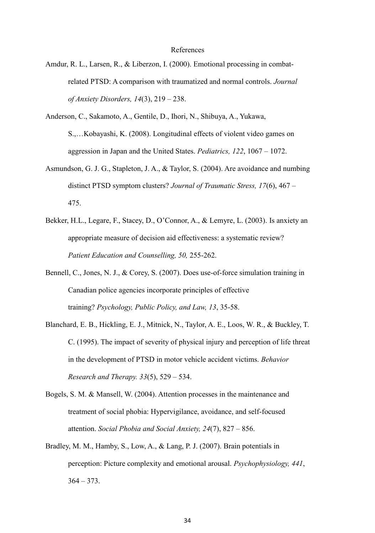#### References

- Amdur, R. L., Larsen, R., & Liberzon, I. (2000). Emotional processing in combatrelated PTSD: A comparison with traumatized and normal controls. *Journal of Anxiety Disorders, 14*(3), 219 – 238.
- Anderson, C., Sakamoto, A., Gentile, D., Ihori, N., Shibuya, A., Yukawa, S.,…Kobayashi, K. (2008). Longitudinal effects of violent video games on aggression in Japan and the United States. *Pediatrics, 122*, 1067 – 1072.
- Asmundson, G. J. G., Stapleton, J. A., & Taylor, S. (2004). Are avoidance and numbing distinct PTSD symptom clusters? *Journal of Traumatic Stress, 17*(6), 467 – 475.
- Bekker, H.L., Legare, F., Stacey, D., O'Connor, A., & Lemyre, L. (2003). Is anxiety an appropriate measure of decision aid effectiveness: a systematic review? *Patient Education and Counselling, 50,* 255-262.
- Bennell, C., Jones, N. J., & Corey, S. (2007). Does use-of-force simulation training in Canadian police agencies incorporate principles of effective training? *Psychology, Public Policy, and Law, 13*, 35-58.
- Blanchard, E. B., Hickling, E. J., Mitnick, N., Taylor, A. E., Loos, W. R., & Buckley, T. C. (1995). The impact of severity of physical injury and perception of life threat in the development of PTSD in motor vehicle accident victims. *Behavior Research and Therapy. 33*(5), 529 – 534.
- Bogels, S. M. & Mansell, W. (2004). Attention processes in the maintenance and treatment of social phobia: Hypervigilance, avoidance, and self-focused attention. *Social Phobia and Social Anxiety, 24*(7), 827 – 856.
- Bradley, M. M., Hamby, S., Low, A., & Lang, P. J. (2007). Brain potentials in perception: Picture complexity and emotional arousal. *Psychophysiology, 441*,  $364 - 373$ .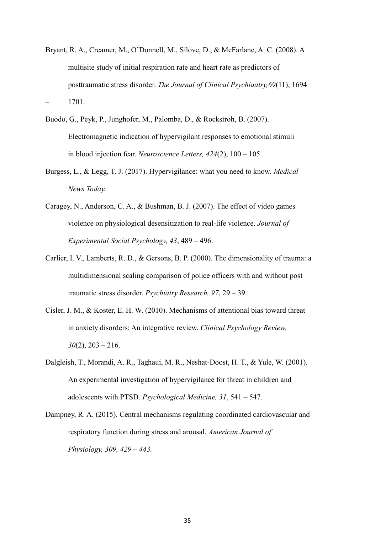- Bryant, R. A., Creamer, M., O'Donnell, M., Silove, D., & McFarlane, A. C. (2008). A multisite study of initial respiration rate and heart rate as predictors of posttraumatic stress disorder. *The Journal of Clinical Psychiaatry,69*(11), 1694 – 1701.
- Buodo, G., Peyk, P., Junghofer, M., Palomba, D., & Rockstroh, B. (2007). Electromagnetic indication of hypervigilant responses to emotional stimuli in blood injection fear. *Neuroscience Letters, 424*(2), 100 – 105.
- Burgess, L., & Legg, T. J. (2017). Hypervigilance: what you need to know. *Medical News Today.*
- Caragey, N., Anderson, C. A., & Bushman, B. J. (2007). The effect of video games violence on physiological desensitization to real-life violence. *Journal of Experimental Social Psychology, 43*, 489 – 496.
- Carlier, I. V., Lamberts, R. D., & Gersons, B. P. (2000). The dimensionality of trauma: a multidimensional scaling comparison of police officers with and without post traumatic stress disorder. *Psychiatry Research, 97*, 29 – 39.
- Cisler, J. M., & Koster, E. H. W. (2010). Mechanisms of attentional bias toward threat in anxiety disorders: An integrative review. *Clinical Psychology Review,*   $30(2)$ ,  $203 - 216$ .
- Dalgleish, T., Morandi, A. R., Taghaui, M. R., Neshat-Doost, H. T., & Yule, W. (2001). An experimental investigation of hypervigilance for threat in children and adolescents with PTSD. *Psychological Medicine, 31*, 541 – 547.
- Dampney, R. A. (2015). Central mechanisms regulating coordinated cardiovascular and respiratory function during stress and arousal. *American Journal of Physiology, 309, 429 – 443.*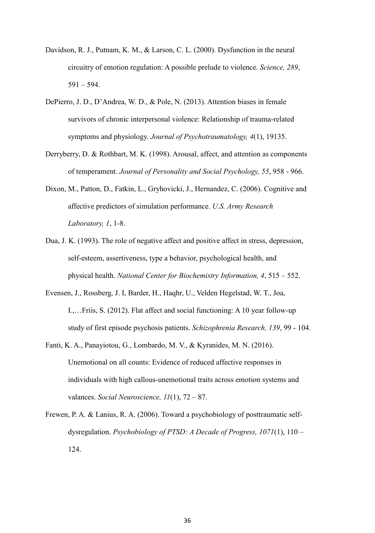- Davidson, R. J., Putnam, K. M., & Larson, C. L. (2000). Dysfunction in the neural circuitry of emotion regulation: A possible prelude to violence. *Science, 289*, 591 – 594.
- DePierro, J. D., D'Andrea, W. D., & Pole, N. (2013). Attention biases in female survivors of chronic interpersonal violence: Relationship of trauma-related symptoms and physiology. *Journal of Psychotraumatology, 4*(1), 19135.
- Derryberry, D. & Rothbart, M. K. (1998). Arousal, affect, and attention as components of temperament. *Journal of Personality and Social Psychology, 55*, 958 - 966.
- Dixon, M., Patton, D., Fatkin, L., Gryhovicki, J., Hernandez, C. (2006). Cognitive and affective predictors of simulation performance. *U.S. Army Research Laboratory, 1*, 1-8.
- Dua, J. K. (1993). The role of negative affect and positive affect in stress, depression, self-esteem, assertiveness, type a behavior, psychological health, and physical health. *National Center for Biochemistry Information, 4*, 515 – 552.
- Evensen, J., Rossberg, J. I, Barder, H., Haqhr, U., Velden Hegelstad, W. T., Joa, I.,…Friis, S. (2012). Flat affect and social functioning: A 10 year follow-up study of first episode psychosis patients. *Schizophrenia Research, 139*, 99 - 104.
- Fanti, K. A., Panayiotou, G., Lombardo, M. V., & Kyranides, M. N. (2016). Unemotional on all counts: Evidence of reduced affective responses in individuals with high callous-unemotional traits across emotion systems and valances. *Social Neuroscience, 11*(1), 72 – 87.
- Frewen, P. A. & Lanius, R. A. (2006). Toward a psychobiology of posttraumatic selfdysregulation. *Psychobiology of PTSD: A Decade of Progress, 1071*(1), 110 – 124.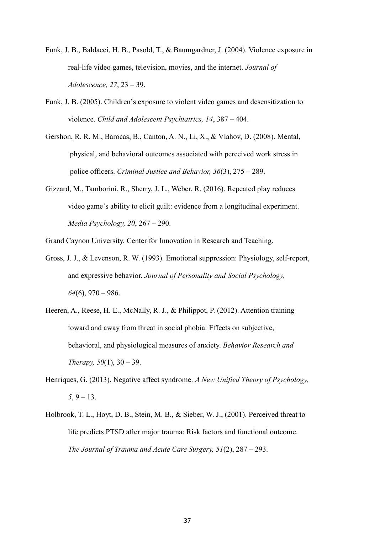- Funk, J. B., Baldacci, H. B., Pasold, T., & Baumgardner, J. (2004). Violence exposure in real-life video games, television, movies, and the internet. *Journal of Adolescence, 27*, 23 – 39.
- Funk, J. B. (2005). Children's exposure to violent video games and desensitization to violence. *Child and Adolescent Psychiatrics, 14*, 387 – 404.
- Gershon, R. R. M., Barocas, B., Canton, A. N., Li, X., & Vlahov, D. (2008). Mental, physical, and behavioral outcomes associated with perceived work stress in police officers. *Criminal Justice and Behavior, 36*(3), 275 – 289.
- Gizzard, M., Tamborini, R., Sherry, J. L., Weber, R. (2016). Repeated play reduces video game's ability to elicit guilt: evidence from a longitudinal experiment. *Media Psychology, 20*, 267 – 290.

Grand Caynon University. Center for Innovation in Research and Teaching.

- Gross, J. J., & Levenson, R. W. (1993). Emotional suppression: Physiology, self-report, and expressive behavior. *Journal of Personality and Social Psychology, 64*(6), 970 – 986.
- Heeren, A., Reese, H. E., McNally, R. J., & Philippot, P. (2012). Attention training toward and away from threat in social phobia: Effects on subjective, behavioral, and physiological measures of anxiety. *Behavior Research and Therapy, 50*(1), 30 – 39.
- Henriques, G. (2013). Negative affect syndrome. *A New Unified Theory of Psychology, 5*, 9 – 13.
- Holbrook, T. L., Hoyt, D. B., Stein, M. B., & Sieber, W. J., (2001). Perceived threat to life predicts PTSD after major trauma: Risk factors and functional outcome. *The Journal of Trauma and Acute Care Surgery, 51*(2), 287 – 293.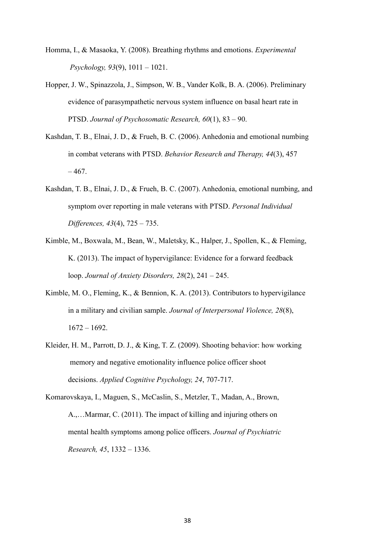- Homma, I., & Masaoka, Y. (2008). Breathing rhythms and emotions. *Experimental Psychology, 93*(9), 1011 – 1021.
- Hopper, J. W., Spinazzola, J., Simpson, W. B., Vander Kolk, B. A. (2006). Preliminary evidence of parasympathetic nervous system influence on basal heart rate in PTSD. *Journal of Psychosomatic Research, 60*(1), 83 – 90.
- Kashdan, T. B., Elnai, J. D., & Frueh, B. C. (2006). Anhedonia and emotional numbing in combat veterans with PTSD. *Behavior Research and Therapy, 44*(3), 457  $-467.$
- Kashdan, T. B., Elnai, J. D., & Frueh, B. C. (2007). Anhedonia, emotional numbing, and symptom over reporting in male veterans with PTSD. *Personal Individual Differences, 43*(4), 725 – 735.
- Kimble, M., Boxwala, M., Bean, W., Maletsky, K., Halper, J., Spollen, K., & Fleming, K. (2013). The impact of hypervigilance: Evidence for a forward feedback loop. *Journal of Anxiety Disorders, 28*(2), 241 – 245.
- Kimble, M. O., Fleming, K., & Bennion, K. A. (2013). Contributors to hypervigilance in a military and civilian sample. *Journal of Interpersonal Violence, 28*(8), 1672 – 1692.
- Kleider, H. M., Parrott, D. J., & King, T. Z. (2009). Shooting behavior: how working memory and negative emotionality influence police officer shoot decisions. *Applied Cognitive Psychology, 24*, 707-717.
- Komarovskaya, I., Maguen, S., McCaslin, S., Metzler, T., Madan, A., Brown, A.,…Marmar, C. (2011). The impact of killing and injuring others on mental health symptoms among police officers. *Journal of Psychiatric Research, 45*, 1332 – 1336.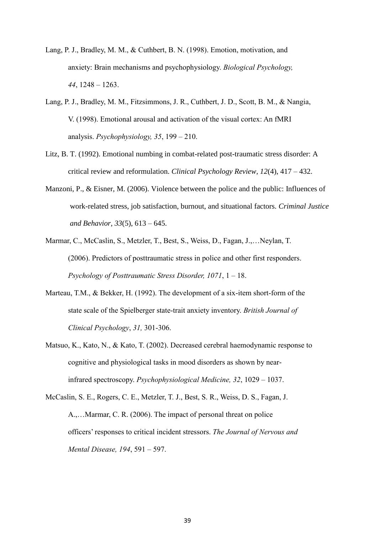- Lang, P. J., Bradley, M. M., & Cuthbert, B. N. (1998). Emotion, motivation, and anxiety: Brain mechanisms and psychophysiology. *Biological Psychology, 44*, 1248 – 1263.
- Lang, P. J., Bradley, M. M., Fitzsimmons, J. R., Cuthbert, J. D., Scott, B. M., & Nangia, V. (1998). Emotional arousal and activation of the visual cortex: An fMRI analysis. *Psychophysiology, 35*, 199 – 210.
- Litz, B. T. (1992). Emotional numbing in combat-related post-traumatic stress disorder: A critical review and reformulation. *Clinical Psychology Review, 12*(4), 417 – 432.
- Manzoni, P., & Eisner, M. (2006). Violence between the police and the public: Influences of work-related stress, job satisfaction, burnout, and situational factors. *Criminal Justice and Behavior, 33*(5), 613 – 645.
- Marmar, C., McCaslin, S., Metzler, T., Best, S., Weiss, D., Fagan, J.,…Neylan, T. (2006). Predictors of posttraumatic stress in police and other first responders. *Psychology of Posttraumatic Stress Disorder, 1071*, 1 – 18.
- Marteau, T.M., & Bekker, H. (1992). The development of a six-item short-form of the state scale of the Spielberger state-trait anxiety inventory. *British Journal of Clinical Psychology*, *31,* 301-306.
- Matsuo, K., Kato, N., & Kato, T. (2002). Decreased cerebral haemodynamic response to cognitive and physiological tasks in mood disorders as shown by nearinfrared spectroscopy. *Psychophysiological Medicine, 32*, 1029 – 1037.
- McCaslin, S. E., Rogers, C. E., Metzler, T. J., Best, S. R., Weiss, D. S., Fagan, J. A.,…Marmar, C. R. (2006). The impact of personal threat on police officers' responses to critical incident stressors. *The Journal of Nervous and Mental Disease, 194*, 591 – 597.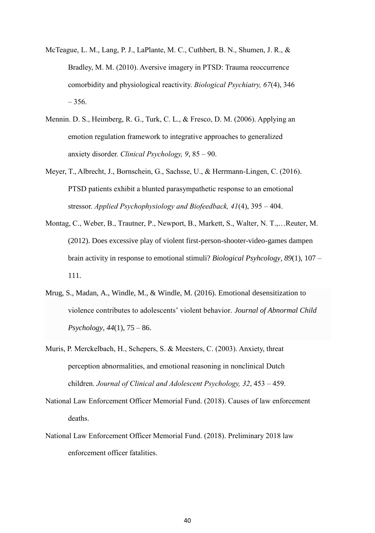- McTeague, L. M., Lang, P. J., LaPlante, M. C., Cuthbert, B. N., Shumen, J. R., & Bradley, M. M. (2010). Aversive imagery in PTSD: Trauma reoccurrence comorbidity and physiological reactivity. *Biological Psychiatry, 67*(4), 346  $-356.$
- Mennin. D. S., Heimberg, R. G., Turk, C. L., & Fresco, D. M. (2006). Applying an emotion regulation framework to integrative approaches to generalized anxiety disorder. *Clinical Psychology, 9*, 85 – 90.
- Meyer, T., Albrecht, J., Bornschein, G., Sachsse, U., & Herrmann-Lingen, C. (2016). PTSD patients exhibit a blunted parasympathetic response to an emotional stressor. *Applied Psychophysiology and Biofeedback, 41*(4), 395 – 404.
- Montag, C., Weber, B., Trautner, P., Newport, B., Markett, S., Walter, N. T.,…Reuter, M. (2012). Does excessive play of violent first-person-shooter-video-games dampen brain activity in response to emotional stimuli? *Biological Psyhcology, 89*(1), 107 – 111.
- Mrug, S., Madan, A., Windle, M., & Windle, M. (2016). Emotional desensitization to violence contributes to adolescents' violent behavior. *Journal of Abnormal Child Psychology, 44*(1), 75 – 86.
- Muris, P. Merckelbach, H., Schepers, S. & Meesters, C. (2003). Anxiety, threat perception abnormalities, and emotional reasoning in nonclinical Dutch children. *Journal of Clinical and Adolescent Psychology, 32*, 453 – 459.
- National Law Enforcement Officer Memorial Fund. (2018). Causes of law enforcement deaths.
- National Law Enforcement Officer Memorial Fund. (2018). Preliminary 2018 law enforcement officer fatalities.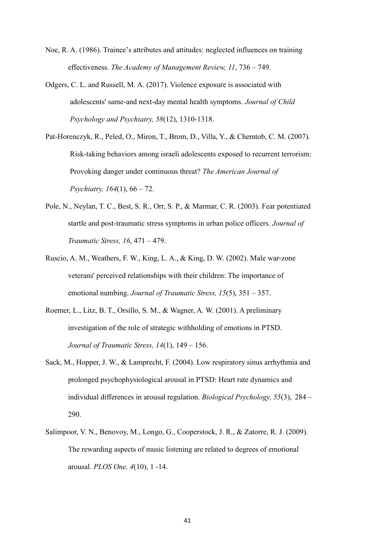- Noe, R. A. (1986). Trainee's attributes and attitudes: neglected influences on training effectiveness. *The Academy of Management Review, 11*, 736 – 749.
- Odgers, C. L. and Russell, M. A. (2017). Violence exposure is associated with adolescents' same‐and next‐day mental health symptoms. *Journal of Child Psychology and Psychiatry, 58*(12), 1310-1318.
- Pat-Horenczyk, R., Peled, O., Miron, T., Brom, D., Villa, Y., & Chemtob, C. M. (2007). Risk-taking behaviors among israeli adolescents exposed to recurrent terrorism: Provoking danger under continuous threat? *The American Journal of Psychiatry, 164*(1), 66 – 72.
- Pole, N., Neylan, T. C., Best, S. R., Orr, S. P., & Marmar, C. R. (2003). Fear potentiated startle and post-traumatic stress symptoms in urban police officers. *Journal of Traumatic Stress, 16*, 471 – 479.
- Ruscio, A. M., Weathers, F. W., King, L. A., & King, D. W. (2002). Male war-zone veterans' perceived relationships with their children: The importance of emotional numbing. *Journal of Traumatic Stress, 15*(5), 351 – 357.
- Roemer, L., Litz, B. T., Orsillo, S. M., & Wagner, A. W. (2001). A preliminary investigation of the role of strategic withholding of emotions in PTSD. *Journal of Traumatic Stress, 14*(1), 149 – 156.
- Sack, M., Hopper, J. W., & Lamprecht, F. (2004). Low respiratory sinus arrhythmia and prolonged psychophysiological arousal in PTSD: Heart rate dynamics and individual differences in arousal regulation. *Biological Psychology, 55*(3), 284 – 290.
- Salimpoor, V. N., Benovoy, M., Longo, G., Cooperstock, J. R., & Zatorre, R. J. (2009). The rewarding aspects of music listening are related to degrees of emotional arousal. *PLOS One, 4*(10), 1 -14.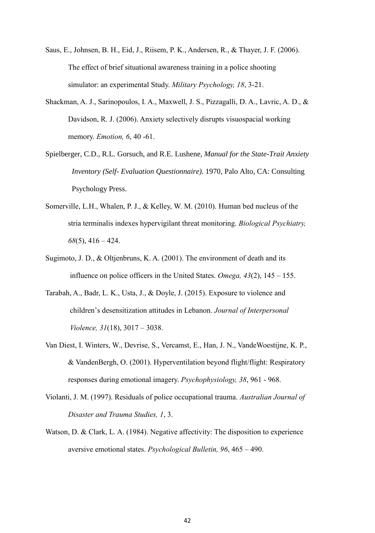Saus, E., Johnsen, B. H., Eid, J., Riisem, P. K., Andersen, R., & Thayer, J. F. (2006). The effect of brief situational awareness training in a police shooting simulator: an experimental Study. *Military Psychology, 18*, 3-21.

- Shackman, A. J., Sarinopoulos, I. A., Maxwell, J. S., Pizzagalli, D. A., Lavric, A. D., & Davidson, R. J. (2006). Anxiety selectively disrupts visuospacial working memory. *Emotion, 6*, 40 -61.
- Spielberger, C.D., R.L. Gorsuch, and R.E. Lushene, *Manual for the State-Trait Anxiety Inventory (Self- Evaluation Questionnaire)*. 1970, Palo Alto, CA: Consulting Psychology Press.
- Somerville, L.H., Whalen, P. J., & Kelley, W. M. (2010). Human bed nucleus of the stria terminalis indexes hypervigilant threat monitoring. *Biological Psychiatry, 68*(5), 416 – 424.
- Sugimoto, J. D., & Oltjenbruns, K. A. (2001). The environment of death and its influence on police officers in the United States. *Omega, 43*(2), 145 – 155.
- Tarabah, A., Badr, L. K., Usta, J., & Doyle, J. (2015). Exposure to violence and children's desensitization attitudes in Lebanon. *Journal of Interpersonal Violence, 31*(18), 3017 – 3038.
- Van Diest, I. Winters, W., Devrise, S., Vercamst, E., Han, J. N., VandeWoestijne, K. P., & VandenBergh, O. (2001). Hyperventilation beyond flight/flight: Respiratory responses during emotional imagery. *Psychophysiology, 38*, 961 - 968.
- Violanti, J. M. (1997). Residuals of police occupational trauma. *Australian Journal of Disaster and Trauma Studies, 1*, 3.
- Watson, D. & Clark, L. A. (1984). Negative affectivity: The disposition to experience aversive emotional states. *Psychological Bulletin, 96*, 465 – 490.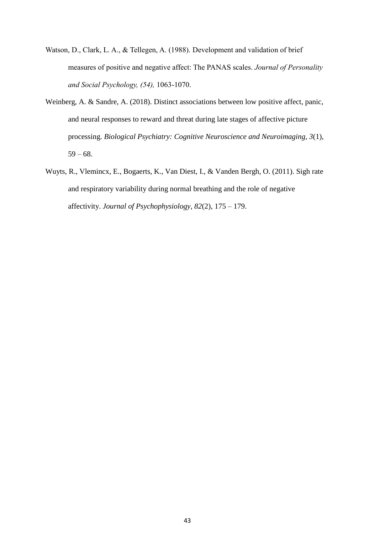- Watson, D., Clark, L. A., & Tellegen, A. (1988). [Development and validation](http://homepages.se.edu/cvonbergen/files/2013/01/Development-and-Validation-of-Brief-Measures-of-Positive-and-Negative-Affect_The-PANAS-Scales.pdf) [of brief](http://homepages.se.edu/cvonbergen/files/2013/01/Development-and-Validation-of-Brief-Measures-of-Positive-and-Negative-Affect_The-PANAS-Scales.pdf)  [measures of positive and negative affect: The PANAS scales.](http://homepages.se.edu/cvonbergen/files/2013/01/Development-and-Validation-of-Brief-Measures-of-Positive-and-Negative-Affect_The-PANAS-Scales.pdf) *Journal of Personality and Social Psychology, (54),* 1063-1070.
- Weinberg, A. & Sandre, A. (2018). Distinct associations between low positive affect, panic, and neural responses to reward and threat during late stages of affective picture processing. *Biological Psychiatry: Cognitive Neuroscience and Neuroimaging, 3*(1),  $59 - 68.$
- Wuyts, R., Vlemincx, E., Bogaerts, K., Van Diest, I., & Vanden Bergh, O. (2011). Sigh rate and respiratory variability during normal breathing and the role of negative affectivity. *Journal of Psychophysiology, 82*(2), 175 – 179.